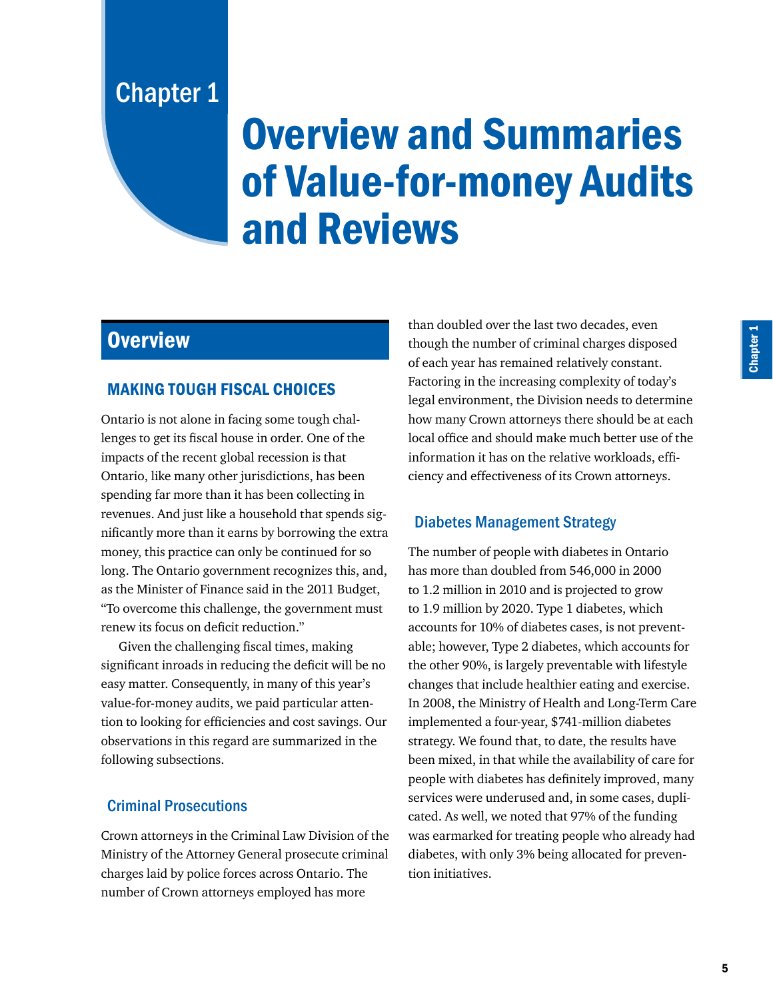Chapter 1

# Overview and Summaries of Value-for-money Audits and Reviews

# **Overview**

# MAKING TOUGH FISCAL CHOICES

Ontario is not alone in facing some tough challenges to get its fiscal house in order. One of the impacts of the recent global recession is that Ontario, like many other jurisdictions, has been spending far more than it has been collecting in revenues. And just like a household that spends significantly more than it earns by borrowing the extra money, this practice can only be continued for so long. The Ontario government recognizes this, and, as the Minister of Finance said in the 2011 Budget, "To overcome this challenge, the government must renew its focus on deficit reduction."

Given the challenging fiscal times, making significant inroads in reducing the deficit will be no easy matter. Consequently, in many of this year's value-for-money audits, we paid particular attention to looking for efficiencies and cost savings. Our observations in this regard are summarized in the following subsections.

# Criminal Prosecutions

Crown attorneys in the Criminal Law Division of the Ministry of the Attorney General prosecute criminal charges laid by police forces across Ontario. The number of Crown attorneys employed has more

than doubled over the last two decades, even though the number of criminal charges disposed of each year has remained relatively constant. Factoring in the increasing complexity of today's legal environment, the Division needs to determine how many Crown attorneys there should be at each local office and should make much better use of the information it has on the relative workloads, efficiency and effectiveness of its Crown attorneys.

# Diabetes Management Strategy

The number of people with diabetes in Ontario has more than doubled from 546,000 in 2000 to 1.2 million in 2010 and is projected to grow to 1.9 million by 2020. Type 1 diabetes, which accounts for 10% of diabetes cases, is not preventable; however, Type 2 diabetes, which accounts for the other 90%, is largely preventable with lifestyle changes that include healthier eating and exercise. In 2008, the Ministry of Health and Long-Term Care implemented a four-year, \$741-million diabetes strategy. We found that, to date, the results have been mixed, in that while the availability of care for people with diabetes has definitely improved, many services were underused and, in some cases, duplicated. As well, we noted that 97% of the funding was earmarked for treating people who already had diabetes, with only 3% being allocated for prevention initiatives.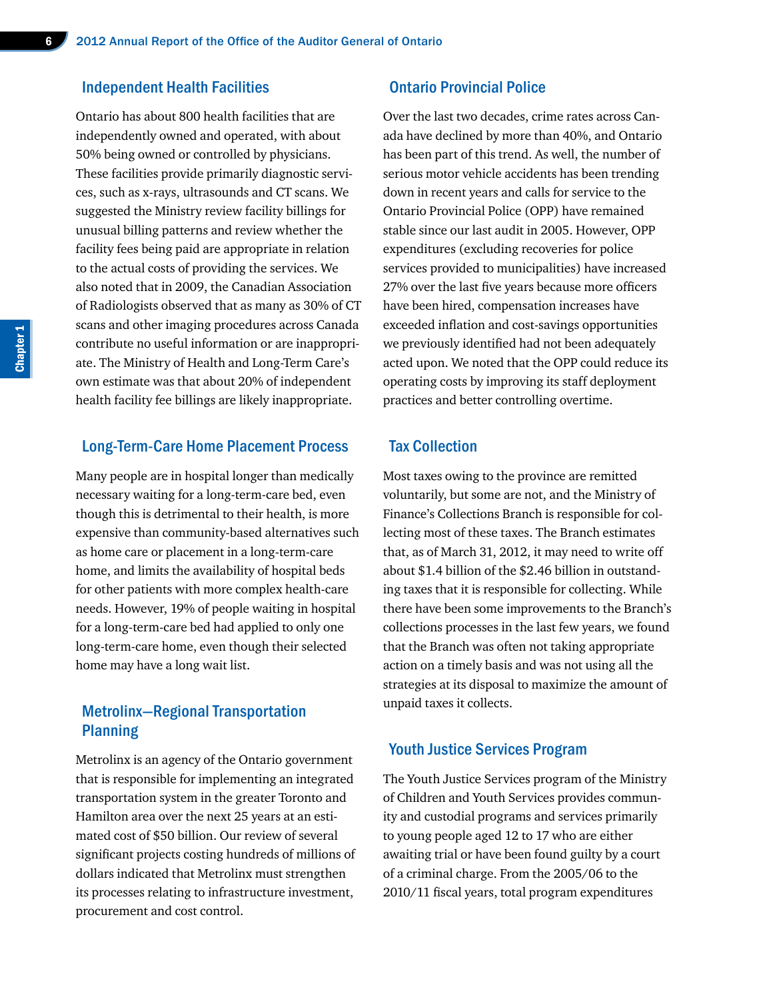#### Independent Health Facilities

Ontario has about 800 health facilities that are independently owned and operated, with about 50% being owned or controlled by physicians. These facilities provide primarily diagnostic services, such as x-rays, ultrasounds and CT scans. We suggested the Ministry review facility billings for unusual billing patterns and review whether the facility fees being paid are appropriate in relation to the actual costs of providing the services. We also noted that in 2009, the Canadian Association of Radiologists observed that as many as 30% of CT scans and other imaging procedures across Canada contribute no useful information or are inappropriate. The Ministry of Health and Long-Term Care's own estimate was that about 20% of independent health facility fee billings are likely inappropriate.

#### Long-Term-Care Home Placement Process

Many people are in hospital longer than medically necessary waiting for a long-term-care bed, even though this is detrimental to their health, is more expensive than community-based alternatives such as home care or placement in a long-term-care home, and limits the availability of hospital beds for other patients with more complex health-care needs. However, 19% of people waiting in hospital for a long-term-care bed had applied to only one long-term-care home, even though their selected home may have a long wait list.

# Metrolinx—Regional Transportation Planning

Metrolinx is an agency of the Ontario government that is responsible for implementing an integrated transportation system in the greater Toronto and Hamilton area over the next 25 years at an estimated cost of \$50 billion. Our review of several significant projects costing hundreds of millions of dollars indicated that Metrolinx must strengthen its processes relating to infrastructure investment, procurement and cost control.

#### Ontario Provincial Police

Over the last two decades, crime rates across Canada have declined by more than 40%, and Ontario has been part of this trend. As well, the number of serious motor vehicle accidents has been trending down in recent years and calls for service to the Ontario Provincial Police (OPP) have remained stable since our last audit in 2005. However, OPP expenditures (excluding recoveries for police services provided to municipalities) have increased 27% over the last five years because more officers have been hired, compensation increases have exceeded inflation and cost-savings opportunities we previously identified had not been adequately acted upon. We noted that the OPP could reduce its operating costs by improving its staff deployment practices and better controlling overtime.

#### Tax Collection

Most taxes owing to the province are remitted voluntarily, but some are not, and the Ministry of Finance's Collections Branch is responsible for collecting most of these taxes. The Branch estimates that, as of March 31, 2012, it may need to write off about \$1.4 billion of the \$2.46 billion in outstanding taxes that it is responsible for collecting. While there have been some improvements to the Branch's collections processes in the last few years, we found that the Branch was often not taking appropriate action on a timely basis and was not using all the strategies at its disposal to maximize the amount of unpaid taxes it collects.

#### Youth Justice Services Program

The Youth Justice Services program of the Ministry of Children and Youth Services provides community and custodial programs and services primarily to young people aged 12 to 17 who are either awaiting trial or have been found guilty by a court of a criminal charge. From the 2005/06 to the 2010/11 fiscal years, total program expenditures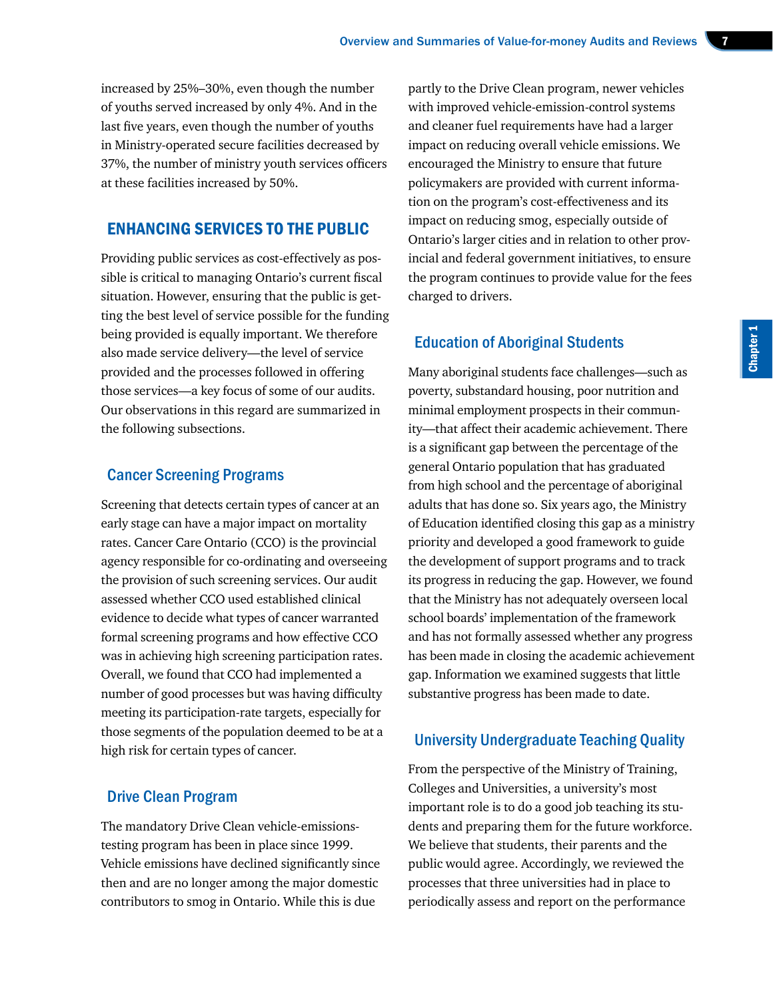increased by 25%–30%, even though the number of youths served increased by only 4%. And in the last five years, even though the number of youths in Ministry-operated secure facilities decreased by 37%, the number of ministry youth services officers at these facilities increased by 50%.

# ENHANCING SERVICES TO THE PUBLIC

Providing public services as cost-effectively as possible is critical to managing Ontario's current fiscal situation. However, ensuring that the public is getting the best level of service possible for the funding being provided is equally important. We therefore also made service delivery—the level of service provided and the processes followed in offering those services—a key focus of some of our audits. Our observations in this regard are summarized in the following subsections.

#### Cancer Screening Programs

Screening that detects certain types of cancer at an early stage can have a major impact on mortality rates. Cancer Care Ontario (CCO) is the provincial agency responsible for co-ordinating and overseeing the provision of such screening services. Our audit assessed whether CCO used established clinical evidence to decide what types of cancer warranted formal screening programs and how effective CCO was in achieving high screening participation rates. Overall, we found that CCO had implemented a number of good processes but was having difficulty meeting its participation-rate targets, especially for those segments of the population deemed to be at a high risk for certain types of cancer.

#### Drive Clean Program

The mandatory Drive Clean vehicle-emissionstesting program has been in place since 1999. Vehicle emissions have declined significantly since then and are no longer among the major domestic contributors to smog in Ontario. While this is due

partly to the Drive Clean program, newer vehicles with improved vehicle-emission-control systems and cleaner fuel requirements have had a larger impact on reducing overall vehicle emissions. We encouraged the Ministry to ensure that future policymakers are provided with current information on the program's cost-effectiveness and its impact on reducing smog, especially outside of Ontario's larger cities and in relation to other provincial and federal government initiatives, to ensure the program continues to provide value for the fees charged to drivers.

# Education of Aboriginal Students

Many aboriginal students face challenges—such as poverty, substandard housing, poor nutrition and minimal employment prospects in their community—that affect their academic achievement. There is a significant gap between the percentage of the general Ontario population that has graduated from high school and the percentage of aboriginal adults that has done so. Six years ago, the Ministry of Education identified closing this gap as a ministry priority and developed a good framework to guide the development of support programs and to track its progress in reducing the gap. However, we found that the Ministry has not adequately overseen local school boards' implementation of the framework and has not formally assessed whether any progress has been made in closing the academic achievement gap. Information we examined suggests that little substantive progress has been made to date.

#### University Undergraduate Teaching Quality

From the perspective of the Ministry of Training, Colleges and Universities, a university's most important role is to do a good job teaching its students and preparing them for the future workforce. We believe that students, their parents and the public would agree. Accordingly, we reviewed the processes that three universities had in place to periodically assess and report on the performance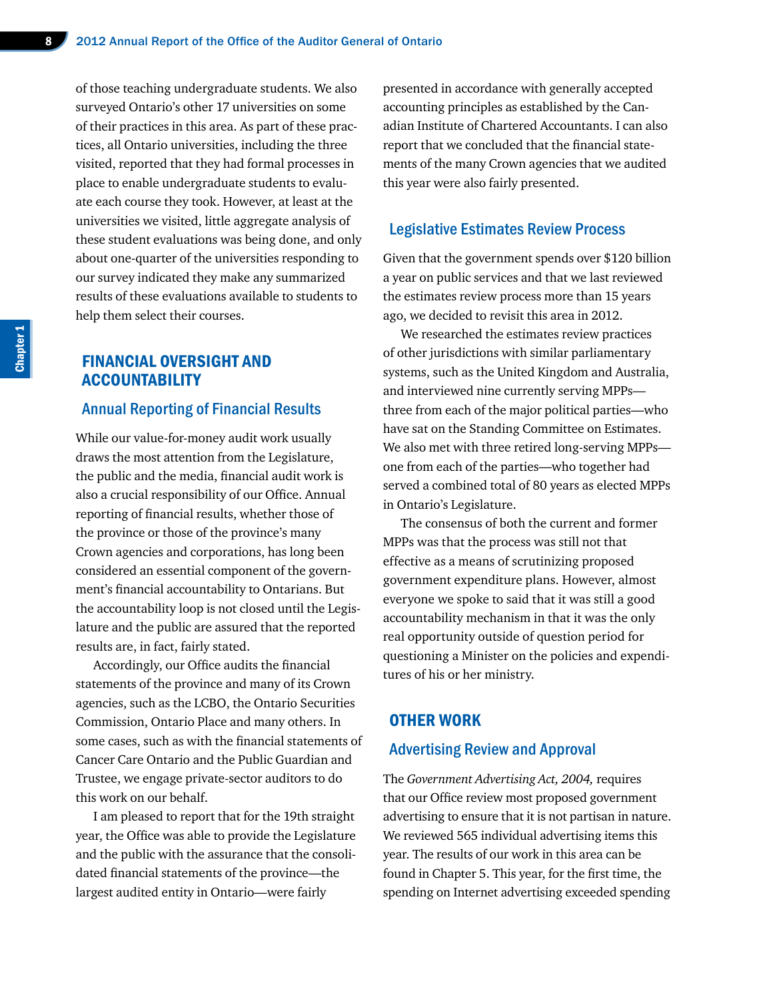of those teaching undergraduate students. We also surveyed Ontario's other 17 universities on some of their practices in this area. As part of these practices, all Ontario universities, including the three visited, reported that they had formal processes in place to enable undergraduate students to evaluate each course they took. However, at least at the universities we visited, little aggregate analysis of these student evaluations was being done, and only about one-quarter of the universities responding to our survey indicated they make any summarized results of these evaluations available to students to help them select their courses.

# FINANCIAL OVERSIGHT AND **ACCOUNTABILITY**

#### Annual Reporting of Financial Results

While our value-for-money audit work usually draws the most attention from the Legislature, the public and the media, financial audit work is also a crucial responsibility of our Office. Annual reporting of financial results, whether those of the province or those of the province's many Crown agencies and corporations, has long been considered an essential component of the government's financial accountability to Ontarians. But the accountability loop is not closed until the Legislature and the public are assured that the reported results are, in fact, fairly stated.

Accordingly, our Office audits the financial statements of the province and many of its Crown agencies, such as the LCBO, the Ontario Securities Commission, Ontario Place and many others. In some cases, such as with the financial statements of Cancer Care Ontario and the Public Guardian and Trustee, we engage private-sector auditors to do this work on our behalf.

I am pleased to report that for the 19th straight year, the Office was able to provide the Legislature and the public with the assurance that the consolidated financial statements of the province—the largest audited entity in Ontario—were fairly

presented in accordance with generally accepted accounting principles as established by the Canadian Institute of Chartered Accountants. I can also report that we concluded that the financial statements of the many Crown agencies that we audited this year were also fairly presented.

#### Legislative Estimates Review Process

Given that the government spends over \$120 billion a year on public services and that we last reviewed the estimates review process more than 15 years ago, we decided to revisit this area in 2012.

We researched the estimates review practices of other jurisdictions with similar parliamentary systems, such as the United Kingdom and Australia, and interviewed nine currently serving MPPs three from each of the major political parties—who have sat on the Standing Committee on Estimates. We also met with three retired long-serving MPPs one from each of the parties—who together had served a combined total of 80 years as elected MPPs in Ontario's Legislature.

The consensus of both the current and former MPPs was that the process was still not that effective as a means of scrutinizing proposed government expenditure plans. However, almost everyone we spoke to said that it was still a good accountability mechanism in that it was the only real opportunity outside of question period for questioning a Minister on the policies and expenditures of his or her ministry.

#### OTHER WORK

#### Advertising Review and Approval

The *Government Advertising Act, 2004,* requires that our Office review most proposed government advertising to ensure that it is not partisan in nature. We reviewed 565 individual advertising items this year. The results of our work in this area can be found in Chapter 5. This year, for the first time, the spending on Internet advertising exceeded spending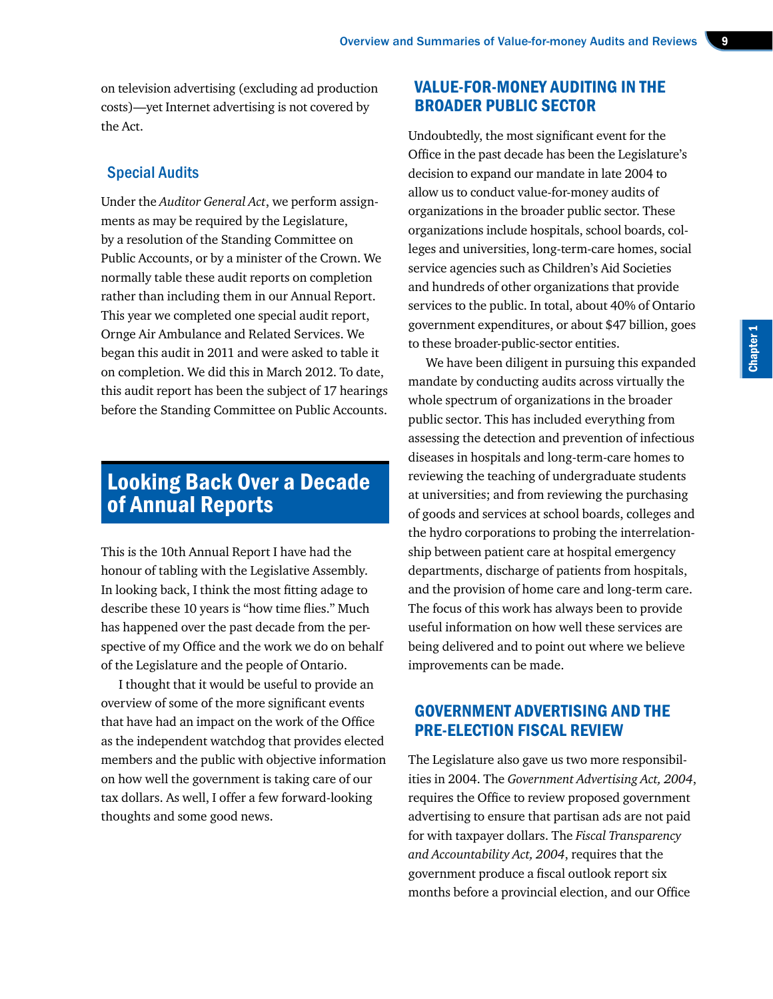on television advertising (excluding ad production costs)—yet Internet advertising is not covered by the Act.

## Special Audits

Under the *Auditor General Act*, we perform assignments as may be required by the Legislature, by a resolution of the Standing Committee on Public Accounts, or by a minister of the Crown. We normally table these audit reports on completion rather than including them in our Annual Report. This year we completed one special audit report, Ornge Air Ambulance and Related Services. We began this audit in 2011 and were asked to table it on completion. We did this in March 2012. To date, this audit report has been the subject of 17 hearings before the Standing Committee on Public Accounts.

# Looking Back Over a Decade of Annual Reports

This is the 10th Annual Report I have had the honour of tabling with the Legislative Assembly. In looking back, I think the most fitting adage to describe these 10 years is "how time flies." Much has happened over the past decade from the perspective of my Office and the work we do on behalf of the Legislature and the people of Ontario.

I thought that it would be useful to provide an overview of some of the more significant events that have had an impact on the work of the Office as the independent watchdog that provides elected members and the public with objective information on how well the government is taking care of our tax dollars. As well, I offer a few forward-looking thoughts and some good news.

# VALUE-FOR-MONEY AUDITING IN THE BROADER PUBLIC SECTOR

Undoubtedly, the most significant event for the Office in the past decade has been the Legislature's decision to expand our mandate in late 2004 to allow us to conduct value-for-money audits of organizations in the broader public sector. These organizations include hospitals, school boards, colleges and universities, long-term-care homes, social service agencies such as Children's Aid Societies and hundreds of other organizations that provide services to the public. In total, about 40% of Ontario government expenditures, or about \$47 billion, goes to these broader-public-sector entities.

We have been diligent in pursuing this expanded mandate by conducting audits across virtually the whole spectrum of organizations in the broader public sector. This has included everything from assessing the detection and prevention of infectious diseases in hospitals and long-term-care homes to reviewing the teaching of undergraduate students at universities; and from reviewing the purchasing of goods and services at school boards, colleges and the hydro corporations to probing the interrelationship between patient care at hospital emergency departments, discharge of patients from hospitals, and the provision of home care and long-term care. The focus of this work has always been to provide useful information on how well these services are being delivered and to point out where we believe improvements can be made.

# GOVERNMENT ADVERTISING AND THE PRE-ELECTION FISCAL REVIEW

The Legislature also gave us two more responsibilities in 2004. The *Government Advertising Act, 2004*, requires the Office to review proposed government advertising to ensure that partisan ads are not paid for with taxpayer dollars. The *Fiscal Transparency and Accountability Act, 2004*, requires that the government produce a fiscal outlook report six months before a provincial election, and our Office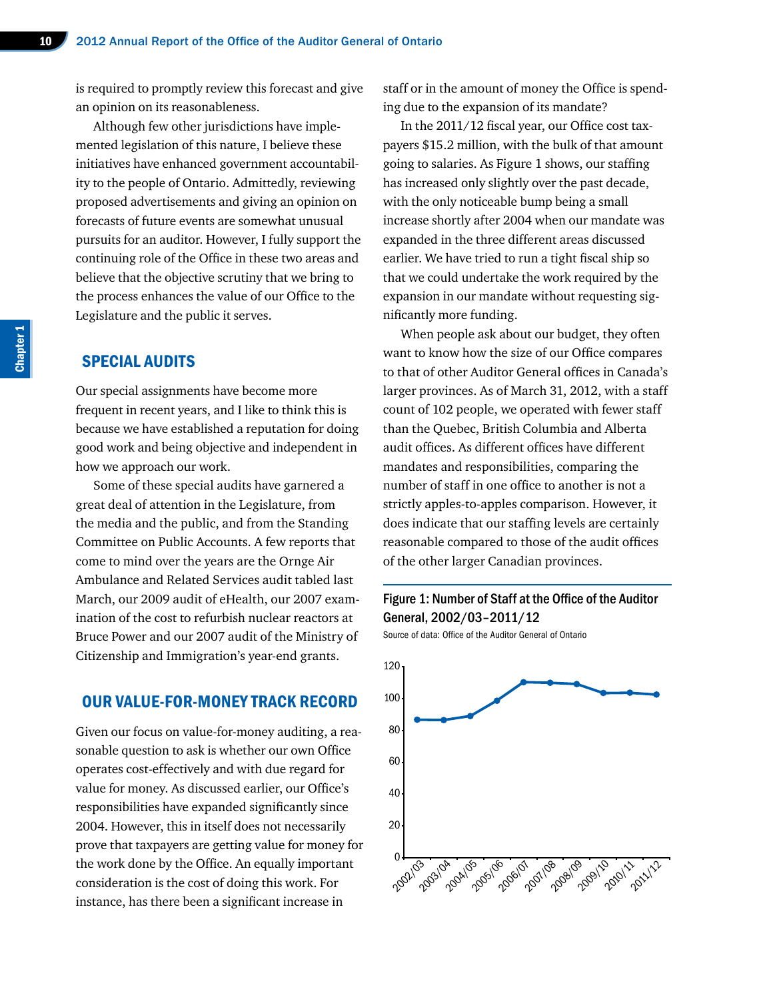is required to promptly review this forecast and give an opinion on its reasonableness.

Although few other jurisdictions have implemented legislation of this nature, I believe these initiatives have enhanced government accountability to the people of Ontario. Admittedly, reviewing proposed advertisements and giving an opinion on forecasts of future events are somewhat unusual pursuits for an auditor. However, I fully support the continuing role of the Office in these two areas and believe that the objective scrutiny that we bring to the process enhances the value of our Office to the Legislature and the public it serves.

#### SPECIAL AUDITS

Our special assignments have become more frequent in recent years, and I like to think this is because we have established a reputation for doing good work and being objective and independent in how we approach our work.

Some of these special audits have garnered a great deal of attention in the Legislature, from the media and the public, and from the Standing Committee on Public Accounts. A few reports that come to mind over the years are the Ornge Air Ambulance and Related Services audit tabled last March, our 2009 audit of eHealth, our 2007 examination of the cost to refurbish nuclear reactors at Bruce Power and our 2007 audit of the Ministry of Citizenship and Immigration's year-end grants.

## OUR VALUE-FOR-MONEY TRACK RECORD

Given our focus on value-for-money auditing, a reasonable question to ask is whether our own Office operates cost-effectively and with due regard for value for money. As discussed earlier, our Office's responsibilities have expanded significantly since 2004. However, this in itself does not necessarily prove that taxpayers are getting value for money for the work done by the Office. An equally important consideration is the cost of doing this work. For instance, has there been a significant increase in

staff or in the amount of money the Office is spending due to the expansion of its mandate?

In the 2011/12 fiscal year, our Office cost taxpayers \$15.2 million, with the bulk of that amount going to salaries. As Figure 1 shows, our staffing has increased only slightly over the past decade, with the only noticeable bump being a small increase shortly after 2004 when our mandate was expanded in the three different areas discussed earlier. We have tried to run a tight fiscal ship so that we could undertake the work required by the expansion in our mandate without requesting significantly more funding.

When people ask about our budget, they often want to know how the size of our Office compares to that of other Auditor General offices in Canada's larger provinces. As of March 31, 2012, with a staff count of 102 people, we operated with fewer staff than the Quebec, British Columbia and Alberta audit offices. As different offices have different mandates and responsibilities, comparing the number of staff in one office to another is not a strictly apples-to-apples comparison. However, it does indicate that our staffing levels are certainly reasonable compared to those of the audit offices of the other larger Canadian provinces.

# Figure 1: Number of Staff at the Office of the Auditor General, 2002/03–2011/12

Source of data: Office of the Auditor General of Ontario

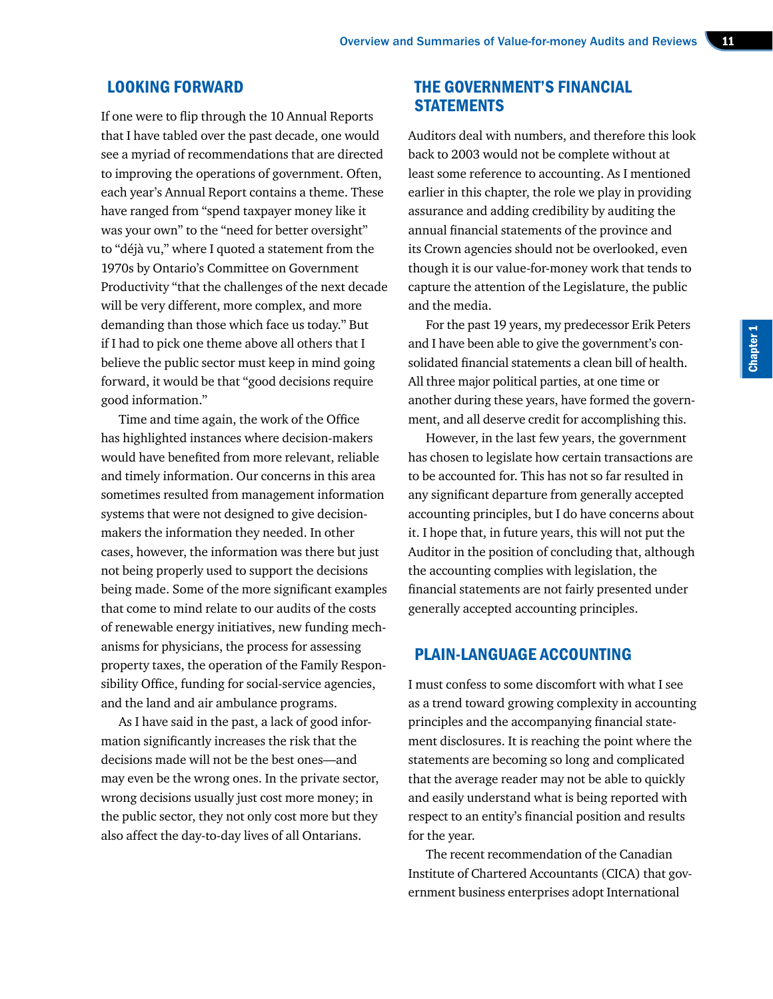#### LOOKING FORWARD

If one were to flip through the 10 Annual Reports that I have tabled over the past decade, one would see a myriad of recommendations that are directed to improving the operations of government. Often, each year's Annual Report contains a theme. These have ranged from "spend taxpayer money like it was your own" to the "need for better oversight" to "déjà vu," where I quoted a statement from the 1970s by Ontario's Committee on Government Productivity "that the challenges of the next decade will be very different, more complex, and more demanding than those which face us today." But if I had to pick one theme above all others that I believe the public sector must keep in mind going forward, it would be that "good decisions require good information."

Time and time again, the work of the Office has highlighted instances where decision-makers would have benefited from more relevant, reliable and timely information. Our concerns in this area sometimes resulted from management information systems that were not designed to give decisionmakers the information they needed. In other cases, however, the information was there but just not being properly used to support the decisions being made. Some of the more significant examples that come to mind relate to our audits of the costs of renewable energy initiatives, new funding mechanisms for physicians, the process for assessing property taxes, the operation of the Family Responsibility Office, funding for social-service agencies, and the land and air ambulance programs.

As I have said in the past, a lack of good information significantly increases the risk that the decisions made will not be the best ones—and may even be the wrong ones. In the private sector, wrong decisions usually just cost more money; in the public sector, they not only cost more but they also affect the day-to-day lives of all Ontarians.

# THE GOVERNMENT'S FINANCIAL **STATEMENTS**

Auditors deal with numbers, and therefore this look back to 2003 would not be complete without at least some reference to accounting. As I mentioned earlier in this chapter, the role we play in providing assurance and adding credibility by auditing the annual financial statements of the province and its Crown agencies should not be overlooked, even though it is our value-for-money work that tends to capture the attention of the Legislature, the public and the media.

For the past 19 years, my predecessor Erik Peters and I have been able to give the government's consolidated financial statements a clean bill of health. All three major political parties, at one time or another during these years, have formed the government, and all deserve credit for accomplishing this.

However, in the last few years, the government has chosen to legislate how certain transactions are to be accounted for. This has not so far resulted in any significant departure from generally accepted accounting principles, but I do have concerns about it. I hope that, in future years, this will not put the Auditor in the position of concluding that, although the accounting complies with legislation, the financial statements are not fairly presented under generally accepted accounting principles.

# PLAIN-LANGUAGE ACCOUNTING

I must confess to some discomfort with what I see as a trend toward growing complexity in accounting principles and the accompanying financial statement disclosures. It is reaching the point where the statements are becoming so long and complicated that the average reader may not be able to quickly and easily understand what is being reported with respect to an entity's financial position and results for the year.

The recent recommendation of the Canadian Institute of Chartered Accountants (CICA) that government business enterprises adopt International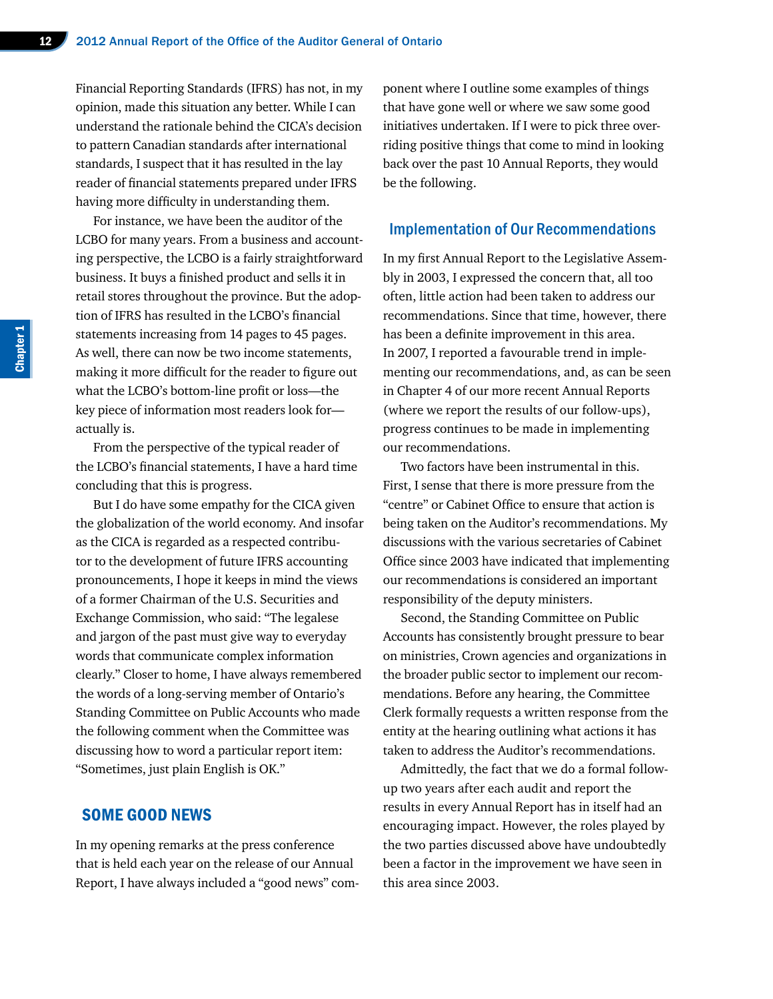Financial Reporting Standards (IFRS) has not, in my opinion, made this situation any better. While I can understand the rationale behind the CICA's decision to pattern Canadian standards after international standards, I suspect that it has resulted in the lay reader of financial statements prepared under IFRS having more difficulty in understanding them.

For instance, we have been the auditor of the LCBO for many years. From a business and accounting perspective, the LCBO is a fairly straightforward business. It buys a finished product and sells it in retail stores throughout the province. But the adoption of IFRS has resulted in the LCBO's financial statements increasing from 14 pages to 45 pages. As well, there can now be two income statements, making it more difficult for the reader to figure out what the LCBO's bottom-line profit or loss—the key piece of information most readers look for actually is.

From the perspective of the typical reader of the LCBO's financial statements, I have a hard time concluding that this is progress.

But I do have some empathy for the CICA given the globalization of the world economy. And insofar as the CICA is regarded as a respected contributor to the development of future IFRS accounting pronouncements, I hope it keeps in mind the views of a former Chairman of the U.S. Securities and Exchange Commission, who said: "The legalese and jargon of the past must give way to everyday words that communicate complex information clearly." Closer to home, I have always remembered the words of a long-serving member of Ontario's Standing Committee on Public Accounts who made the following comment when the Committee was discussing how to word a particular report item: "Sometimes, just plain English is OK."

# SOME GOOD NEWS

In my opening remarks at the press conference that is held each year on the release of our Annual Report, I have always included a "good news" component where I outline some examples of things that have gone well or where we saw some good initiatives undertaken. If I were to pick three overriding positive things that come to mind in looking back over the past 10 Annual Reports, they would be the following.

#### Implementation of Our Recommendations

In my first Annual Report to the Legislative Assembly in 2003, I expressed the concern that, all too often, little action had been taken to address our recommendations. Since that time, however, there has been a definite improvement in this area. In 2007, I reported a favourable trend in implementing our recommendations, and, as can be seen in Chapter 4 of our more recent Annual Reports (where we report the results of our follow-ups), progress continues to be made in implementing our recommendations.

Two factors have been instrumental in this. First, I sense that there is more pressure from the "centre" or Cabinet Office to ensure that action is being taken on the Auditor's recommendations. My discussions with the various secretaries of Cabinet Office since 2003 have indicated that implementing our recommendations is considered an important responsibility of the deputy ministers.

Second, the Standing Committee on Public Accounts has consistently brought pressure to bear on ministries, Crown agencies and organizations in the broader public sector to implement our recommendations. Before any hearing, the Committee Clerk formally requests a written response from the entity at the hearing outlining what actions it has taken to address the Auditor's recommendations.

Admittedly, the fact that we do a formal followup two years after each audit and report the results in every Annual Report has in itself had an encouraging impact. However, the roles played by the two parties discussed above have undoubtedly been a factor in the improvement we have seen in this area since 2003.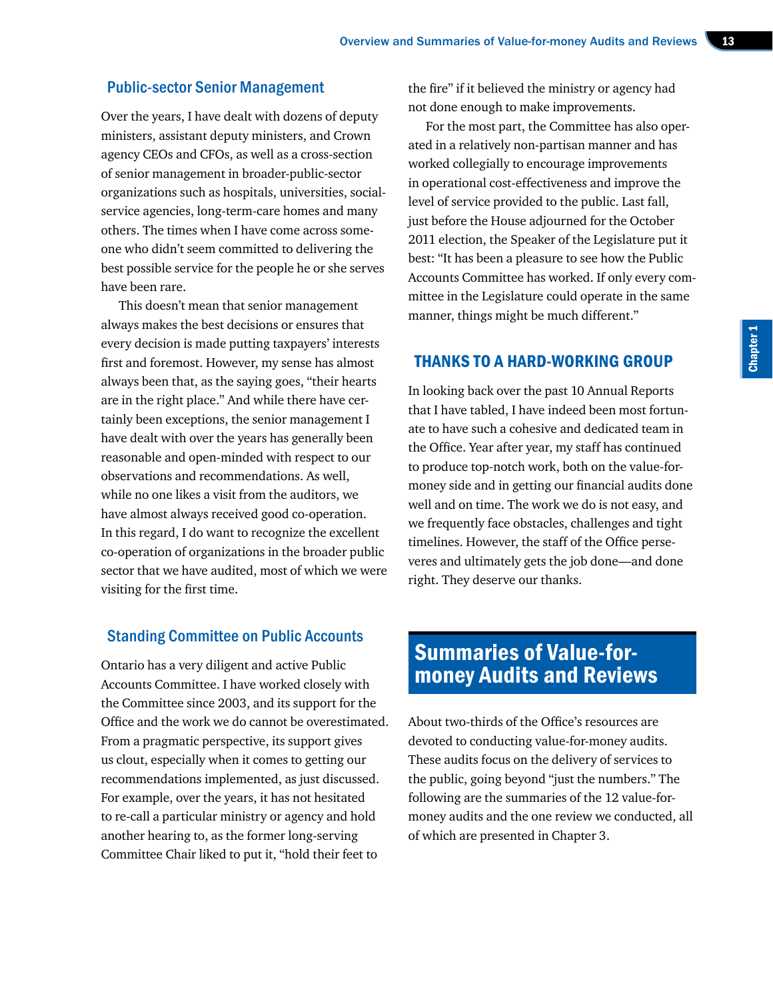#### Public-sector Senior Management

Over the years, I have dealt with dozens of deputy ministers, assistant deputy ministers, and Crown agency CEOs and CFOs, as well as a cross-section of senior management in broader-public-sector organizations such as hospitals, universities, socialservice agencies, long-term-care homes and many others. The times when I have come across someone who didn't seem committed to delivering the best possible service for the people he or she serves have been rare.

This doesn't mean that senior management always makes the best decisions or ensures that every decision is made putting taxpayers' interests first and foremost. However, my sense has almost always been that, as the saying goes, "their hearts are in the right place." And while there have certainly been exceptions, the senior management I have dealt with over the years has generally been reasonable and open-minded with respect to our observations and recommendations. As well, while no one likes a visit from the auditors, we have almost always received good co-operation. In this regard, I do want to recognize the excellent co-operation of organizations in the broader public sector that we have audited, most of which we were visiting for the first time.

#### Standing Committee on Public Accounts

Ontario has a very diligent and active Public Accounts Committee. I have worked closely with the Committee since 2003, and its support for the Office and the work we do cannot be overestimated. From a pragmatic perspective, its support gives us clout, especially when it comes to getting our recommendations implemented, as just discussed. For example, over the years, it has not hesitated to re-call a particular ministry or agency and hold another hearing to, as the former long-serving Committee Chair liked to put it, "hold their feet to

the fire" if it believed the ministry or agency had not done enough to make improvements.

For the most part, the Committee has also operated in a relatively non-partisan manner and has worked collegially to encourage improvements in operational cost-effectiveness and improve the level of service provided to the public. Last fall, just before the House adjourned for the October 2011 election, the Speaker of the Legislature put it best: "It has been a pleasure to see how the Public Accounts Committee has worked. If only every committee in the Legislature could operate in the same manner, things might be much different."

## THANKS TO A HARD-WORKING GROUP

In looking back over the past 10 Annual Reports that I have tabled, I have indeed been most fortunate to have such a cohesive and dedicated team in the Office. Year after year, my staff has continued to produce top-notch work, both on the value-formoney side and in getting our financial audits done well and on time. The work we do is not easy, and we frequently face obstacles, challenges and tight timelines. However, the staff of the Office perseveres and ultimately gets the job done—and done right. They deserve our thanks.

# Summaries of Value-formoney Audits and Reviews

About two-thirds of the Office's resources are devoted to conducting value-for-money audits. These audits focus on the delivery of services to the public, going beyond "just the numbers." The following are the summaries of the 12 value-formoney audits and the one review we conducted, all of which are presented in Chapter 3.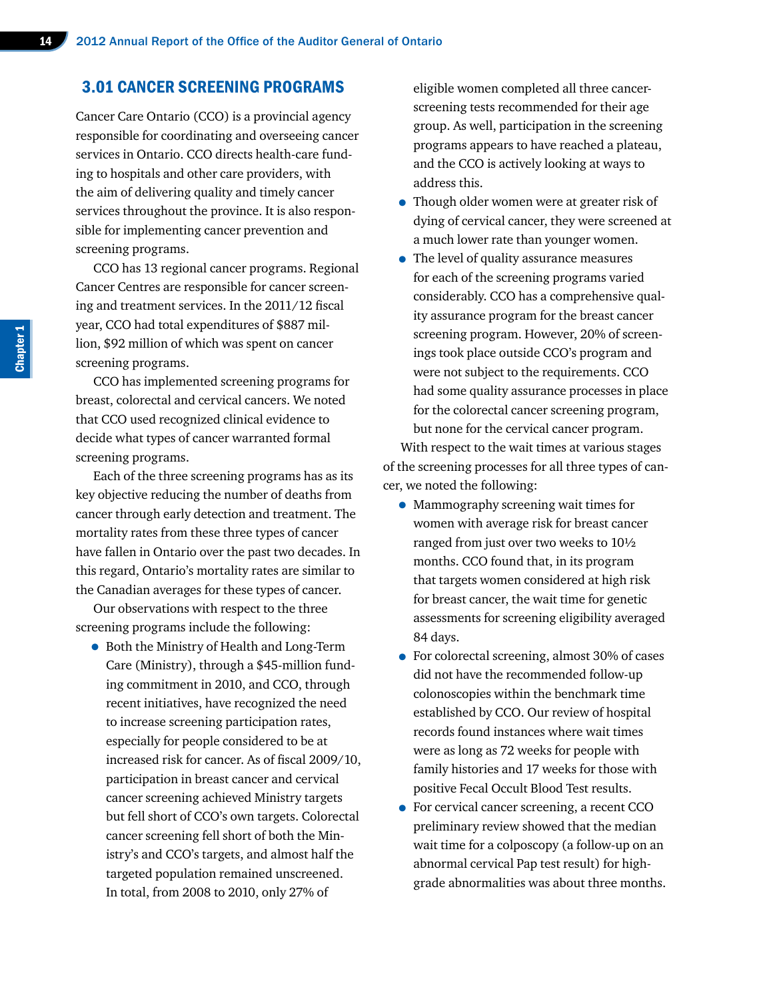#### 3.01 CANCER SCREENING PROGRAMS

Cancer Care Ontario (CCO) is a provincial agency responsible for coordinating and overseeing cancer services in Ontario. CCO directs health-care funding to hospitals and other care providers, with the aim of delivering quality and timely cancer services throughout the province. It is also responsible for implementing cancer prevention and screening programs.

CCO has 13 regional cancer programs. Regional Cancer Centres are responsible for cancer screening and treatment services. In the 2011/12 fiscal year, CCO had total expenditures of \$887 million, \$92 million of which was spent on cancer screening programs.

CCO has implemented screening programs for breast, colorectal and cervical cancers. We noted that CCO used recognized clinical evidence to decide what types of cancer warranted formal screening programs.

Each of the three screening programs has as its key objective reducing the number of deaths from cancer through early detection and treatment. The mortality rates from these three types of cancer have fallen in Ontario over the past two decades. In this regard, Ontario's mortality rates are similar to the Canadian averages for these types of cancer.

Our observations with respect to the three screening programs include the following:

• Both the Ministry of Health and Long-Term Care (Ministry), through a \$45-million funding commitment in 2010, and CCO, through recent initiatives, have recognized the need to increase screening participation rates, especially for people considered to be at increased risk for cancer. As of fiscal 2009/10, participation in breast cancer and cervical cancer screening achieved Ministry targets but fell short of CCO's own targets. Colorectal cancer screening fell short of both the Ministry's and CCO's targets, and almost half the targeted population remained unscreened. In total, from 2008 to 2010, only 27% of

eligible women completed all three cancerscreening tests recommended for their age group. As well, participation in the screening programs appears to have reached a plateau, and the CCO is actively looking at ways to address this.

- Though older women were at greater risk of dying of cervical cancer, they were screened at a much lower rate than younger women.
- The level of quality assurance measures for each of the screening programs varied considerably. CCO has a comprehensive quality assurance program for the breast cancer screening program. However, 20% of screenings took place outside CCO's program and were not subject to the requirements. CCO had some quality assurance processes in place for the colorectal cancer screening program, but none for the cervical cancer program.

With respect to the wait times at various stages of the screening processes for all three types of cancer, we noted the following:

- Mammography screening wait times for women with average risk for breast cancer ranged from just over two weeks to 10½ months. CCO found that, in its program that targets women considered at high risk for breast cancer, the wait time for genetic assessments for screening eligibility averaged 84 days.
- For colorectal screening, almost 30% of cases did not have the recommended follow-up colonoscopies within the benchmark time established by CCO. Our review of hospital records found instances where wait times were as long as 72 weeks for people with family histories and 17 weeks for those with positive Fecal Occult Blood Test results.
- For cervical cancer screening, a recent CCO preliminary review showed that the median wait time for a colposcopy (a follow-up on an abnormal cervical Pap test result) for highgrade abnormalities was about three months.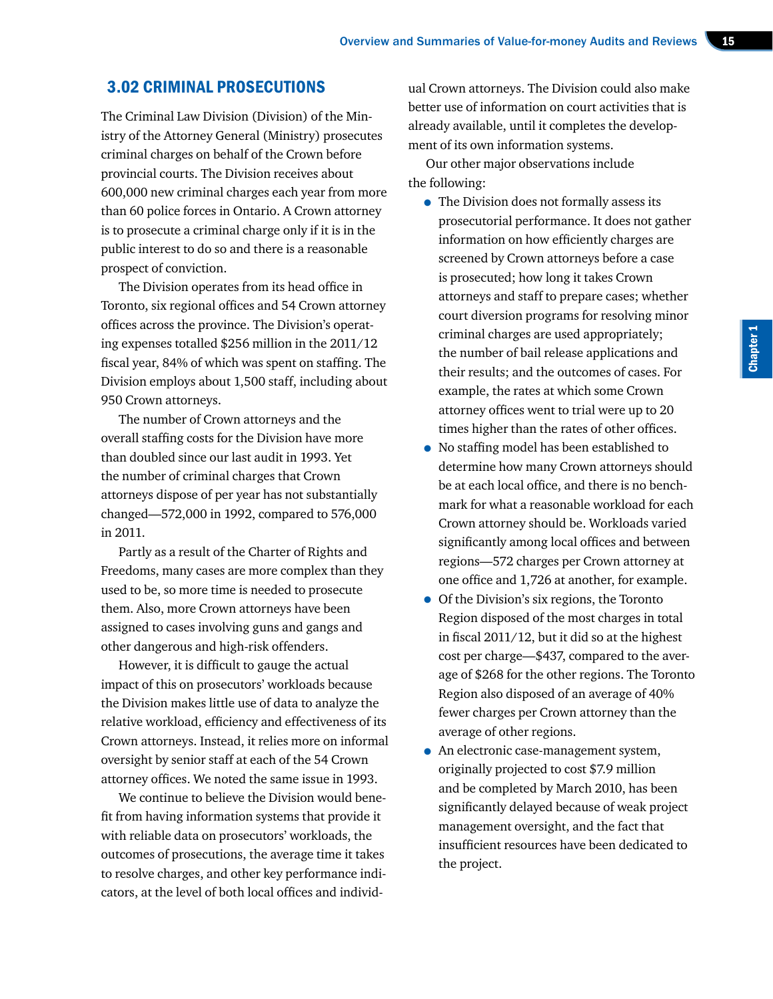# 3.02 CRIMINAL PROSECUTIONS

The Criminal Law Division (Division) of the Ministry of the Attorney General (Ministry) prosecutes criminal charges on behalf of the Crown before provincial courts. The Division receives about 600,000 new criminal charges each year from more than 60 police forces in Ontario. A Crown attorney is to prosecute a criminal charge only if it is in the public interest to do so and there is a reasonable prospect of conviction.

The Division operates from its head office in Toronto, six regional offices and 54 Crown attorney offices across the province. The Division's operating expenses totalled \$256 million in the 2011/12 fiscal year, 84% of which was spent on staffing. The Division employs about 1,500 staff, including about 950 Crown attorneys.

The number of Crown attorneys and the overall staffing costs for the Division have more than doubled since our last audit in 1993. Yet the number of criminal charges that Crown attorneys dispose of per year has not substantially changed—572,000 in 1992, compared to 576,000 in 2011.

Partly as a result of the Charter of Rights and Freedoms, many cases are more complex than they used to be, so more time is needed to prosecute them. Also, more Crown attorneys have been assigned to cases involving guns and gangs and other dangerous and high-risk offenders.

However, it is difficult to gauge the actual impact of this on prosecutors' workloads because the Division makes little use of data to analyze the relative workload, efficiency and effectiveness of its Crown attorneys. Instead, it relies more on informal oversight by senior staff at each of the 54 Crown attorney offices. We noted the same issue in 1993.

We continue to believe the Division would benefit from having information systems that provide it with reliable data on prosecutors' workloads, the outcomes of prosecutions, the average time it takes to resolve charges, and other key performance indicators, at the level of both local offices and individ-

ual Crown attorneys. The Division could also make better use of information on court activities that is already available, until it completes the development of its own information systems.

Our other major observations include the following:

- The Division does not formally assess its prosecutorial performance. It does not gather information on how efficiently charges are screened by Crown attorneys before a case is prosecuted; how long it takes Crown attorneys and staff to prepare cases; whether court diversion programs for resolving minor criminal charges are used appropriately; the number of bail release applications and their results; and the outcomes of cases. For example, the rates at which some Crown attorney offices went to trial were up to 20 times higher than the rates of other offices.
- No staffing model has been established to determine how many Crown attorneys should be at each local office, and there is no benchmark for what a reasonable workload for each Crown attorney should be. Workloads varied significantly among local offices and between regions—572 charges per Crown attorney at one office and 1,726 at another, for example.
- Of the Division's six regions, the Toronto Region disposed of the most charges in total in fiscal 2011/12, but it did so at the highest cost per charge—\$437, compared to the average of \$268 for the other regions. The Toronto Region also disposed of an average of 40% fewer charges per Crown attorney than the average of other regions.
- An electronic case-management system, originally projected to cost \$7.9 million and be completed by March 2010, has been significantly delayed because of weak project management oversight, and the fact that insufficient resources have been dedicated to the project.

Chapter 1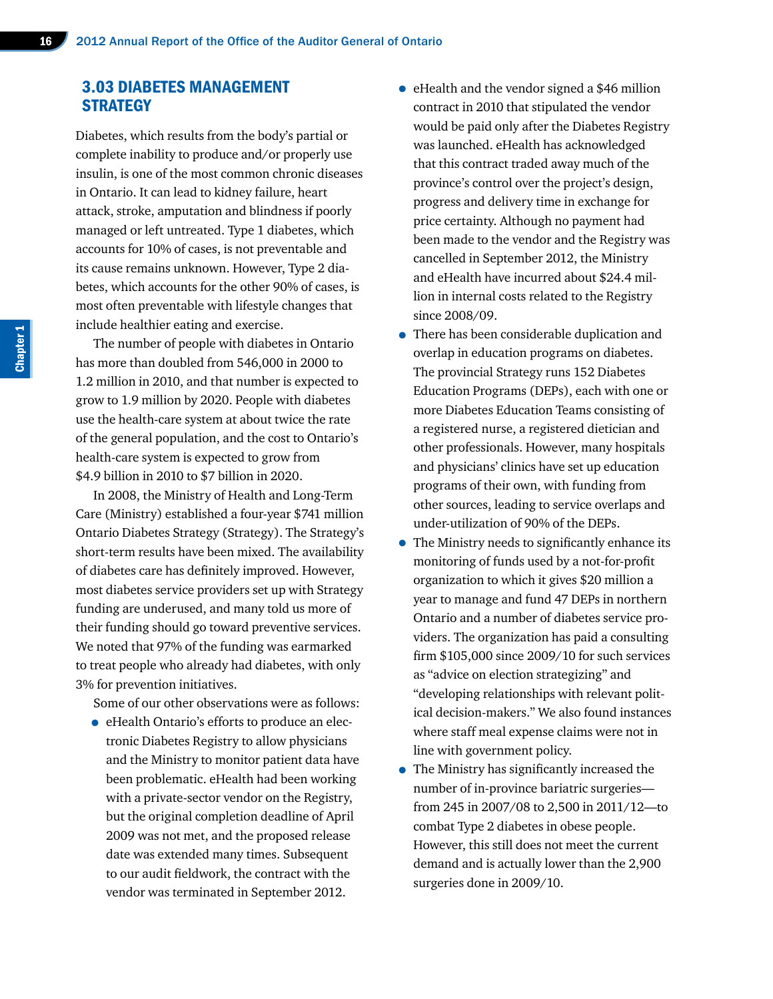# 3.03 DIABETES MANAGEMENT **STRATEGY**

Diabetes, which results from the body's partial or complete inability to produce and/or properly use insulin, is one of the most common chronic diseases in Ontario. It can lead to kidney failure, heart attack, stroke, amputation and blindness if poorly managed or left untreated. Type 1 diabetes, which accounts for 10% of cases, is not preventable and its cause remains unknown. However, Type 2 diabetes, which accounts for the other 90% of cases, is most often preventable with lifestyle changes that include healthier eating and exercise.

The number of people with diabetes in Ontario has more than doubled from 546,000 in 2000 to 1.2 million in 2010, and that number is expected to grow to 1.9 million by 2020. People with diabetes use the health-care system at about twice the rate of the general population, and the cost to Ontario's health-care system is expected to grow from \$4.9 billion in 2010 to \$7 billion in 2020.

In 2008, the Ministry of Health and Long-Term Care (Ministry) established a four-year \$741 million Ontario Diabetes Strategy (Strategy). The Strategy's short-term results have been mixed. The availability of diabetes care has definitely improved. However, most diabetes service providers set up with Strategy funding are underused, and many told us more of their funding should go toward preventive services. We noted that 97% of the funding was earmarked to treat people who already had diabetes, with only 3% for prevention initiatives.

Some of our other observations were as follows:

• eHealth Ontario's efforts to produce an electronic Diabetes Registry to allow physicians and the Ministry to monitor patient data have been problematic. eHealth had been working with a private-sector vendor on the Registry, but the original completion deadline of April 2009 was not met, and the proposed release date was extended many times. Subsequent to our audit fieldwork, the contract with the vendor was terminated in September 2012.

- eHealth and the vendor signed a \$46 million contract in 2010 that stipulated the vendor would be paid only after the Diabetes Registry was launched. eHealth has acknowledged that this contract traded away much of the province's control over the project's design, progress and delivery time in exchange for price certainty. Although no payment had been made to the vendor and the Registry was cancelled in September 2012, the Ministry and eHealth have incurred about \$24.4 million in internal costs related to the Registry since 2008/09.
- There has been considerable duplication and overlap in education programs on diabetes. The provincial Strategy runs 152 Diabetes Education Programs (DEPs), each with one or more Diabetes Education Teams consisting of a registered nurse, a registered dietician and other professionals. However, many hospitals and physicians' clinics have set up education programs of their own, with funding from other sources, leading to service overlaps and under-utilization of 90% of the DEPs.
- The Ministry needs to significantly enhance its monitoring of funds used by a not-for-profit organization to which it gives \$20 million a year to manage and fund 47 DEPs in northern Ontario and a number of diabetes service providers. The organization has paid a consulting firm \$105,000 since 2009/10 for such services as "advice on election strategizing" and "developing relationships with relevant political decision-makers." We also found instances where staff meal expense claims were not in line with government policy.
- The Ministry has significantly increased the number of in-province bariatric surgeries from 245 in 2007/08 to 2,500 in 2011/12—to combat Type 2 diabetes in obese people. However, this still does not meet the current demand and is actually lower than the 2,900 surgeries done in 2009/10.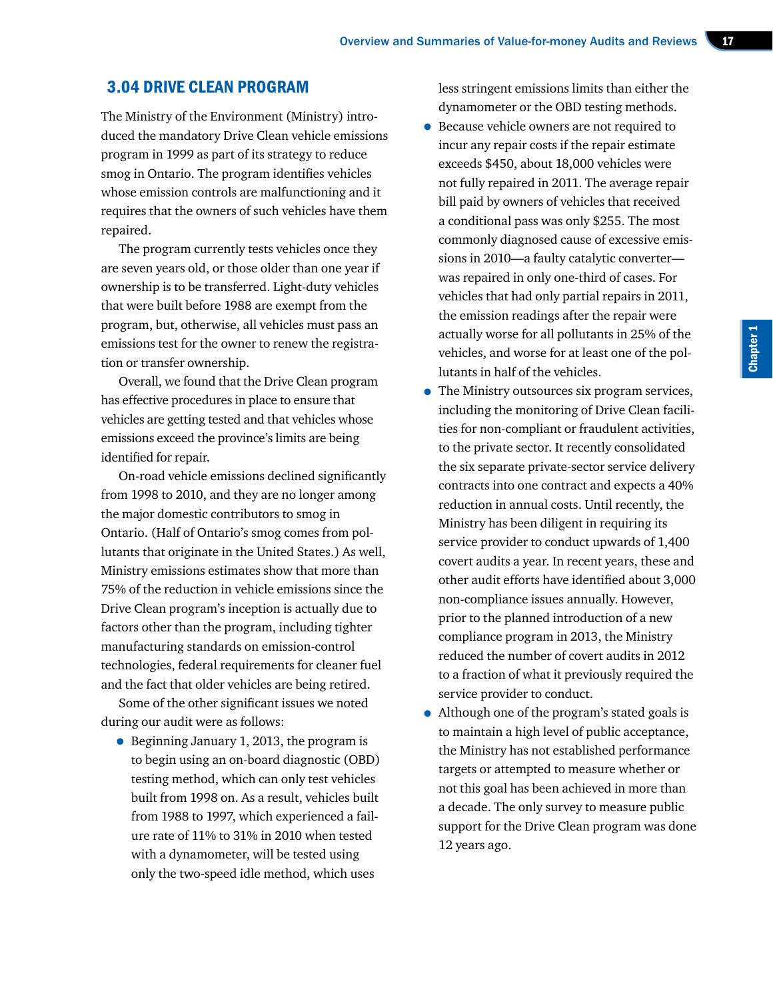# 3.04 DRIVE CLEAN PROGRAM

The Ministry of the Environment (Ministry) introduced the mandatory Drive Clean vehicle emissions program in 1999 as part of its strategy to reduce smog in Ontario. The program identifies vehicles whose emission controls are malfunctioning and it requires that the owners of such vehicles have them repaired.

The program currently tests vehicles once they are seven years old, or those older than one year if ownership is to be transferred. Light-duty vehicles that were built before 1988 are exempt from the program, but, otherwise, all vehicles must pass an emissions test for the owner to renew the registration or transfer ownership.

Overall, we found that the Drive Clean program has effective procedures in place to ensure that vehicles are getting tested and that vehicles whose emissions exceed the province's limits are being identified for repair.

On-road vehicle emissions declined significantly from 1998 to 2010, and they are no longer among the major domestic contributors to smog in Ontario. (Half of Ontario's smog comes from pollutants that originate in the United States.) As well, Ministry emissions estimates show that more than 75% of the reduction in vehicle emissions since the Drive Clean program's inception is actually due to factors other than the program, including tighter manufacturing standards on emission-control technologies, federal requirements for cleaner fuel and the fact that older vehicles are being retired.

Some of the other significant issues we noted during our audit were as follows:

• Beginning January 1, 2013, the program is to begin using an on-board diagnostic (OBD) testing method, which can only test vehicles built from 1998 on. As a result, vehicles built from 1988 to 1997, which experienced a failure rate of 11% to 31% in 2010 when tested with a dynamometer, will be tested using only the two-speed idle method, which uses

less stringent emissions limits than either the dynamometer or the OBD testing methods.

- Because vehicle owners are not required to incur any repair costs if the repair estimate exceeds \$450, about 18,000 vehicles were not fully repaired in 2011. The average repair bill paid by owners of vehicles that received a conditional pass was only \$255. The most commonly diagnosed cause of excessive emissions in 2010—a faulty catalytic converter was repaired in only one-third of cases. For vehicles that had only partial repairs in 2011, the emission readings after the repair were actually worse for all pollutants in 25% of the vehicles, and worse for at least one of the pollutants in half of the vehicles.
- The Ministry outsources six program services, including the monitoring of Drive Clean facilities for non-compliant or fraudulent activities, to the private sector. It recently consolidated the six separate private-sector service delivery contracts into one contract and expects a 40% reduction in annual costs. Until recently, the Ministry has been diligent in requiring its service provider to conduct upwards of 1,400 covert audits a year. In recent years, these and other audit efforts have identified about 3,000 non-compliance issues annually. However, prior to the planned introduction of a new compliance program in 2013, the Ministry reduced the number of covert audits in 2012 to a fraction of what it previously required the service provider to conduct.
- Although one of the program's stated goals is to maintain a high level of public acceptance, the Ministry has not established performance targets or attempted to measure whether or not this goal has been achieved in more than a decade. The only survey to measure public support for the Drive Clean program was done 12 years ago.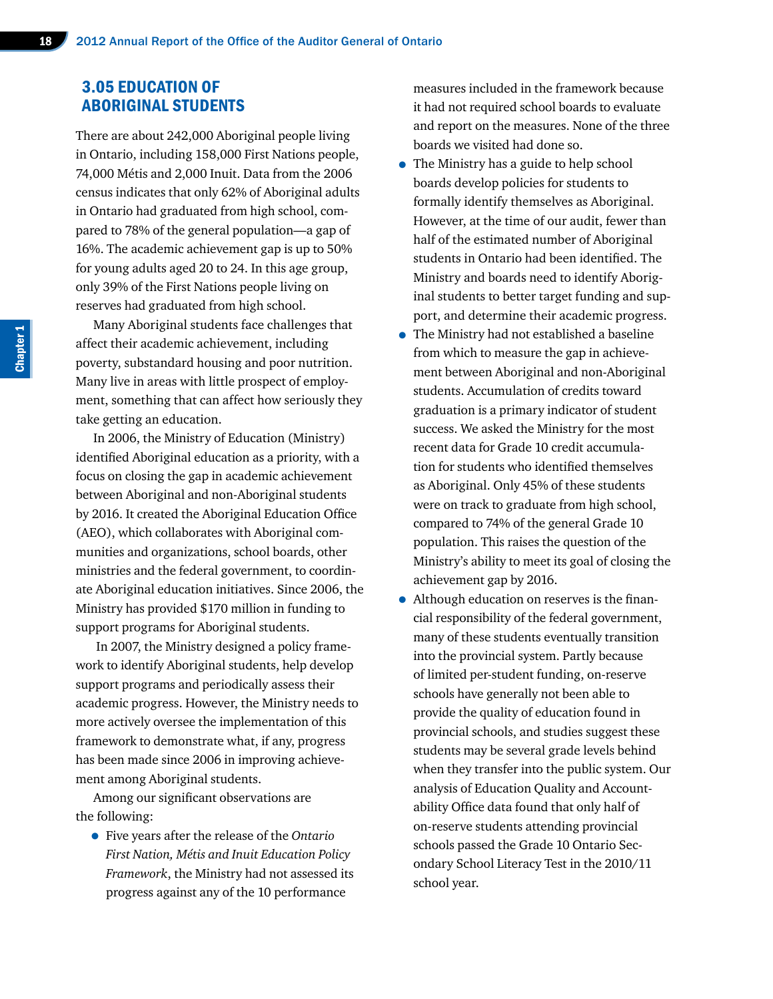# 3.05 EDUCATION OF ABORIGINAL STUDENTS

There are about 242,000 Aboriginal people living in Ontario, including 158,000 First Nations people, 74,000 Métis and 2,000 Inuit. Data from the 2006 census indicates that only 62% of Aboriginal adults in Ontario had graduated from high school, compared to 78% of the general population—a gap of 16%. The academic achievement gap is up to 50% for young adults aged 20 to 24. In this age group, only 39% of the First Nations people living on reserves had graduated from high school.

Many Aboriginal students face challenges that affect their academic achievement, including poverty, substandard housing and poor nutrition. Many live in areas with little prospect of employment, something that can affect how seriously they take getting an education.

In 2006, the Ministry of Education (Ministry) identified Aboriginal education as a priority, with a focus on closing the gap in academic achievement between Aboriginal and non-Aboriginal students by 2016. It created the Aboriginal Education Office (AEO), which collaborates with Aboriginal communities and organizations, school boards, other ministries and the federal government, to coordinate Aboriginal education initiatives. Since 2006, the Ministry has provided \$170 million in funding to support programs for Aboriginal students.

 In 2007, the Ministry designed a policy framework to identify Aboriginal students, help develop support programs and periodically assess their academic progress. However, the Ministry needs to more actively oversee the implementation of this framework to demonstrate what, if any, progress has been made since 2006 in improving achievement among Aboriginal students.

Among our significant observations are the following:

• Five years after the release of the *Ontario First Nation, Métis and Inuit Education Policy Framework*, the Ministry had not assessed its progress against any of the 10 performance

measures included in the framework because it had not required school boards to evaluate and report on the measures. None of the three boards we visited had done so.

- The Ministry has a guide to help school boards develop policies for students to formally identify themselves as Aboriginal. However, at the time of our audit, fewer than half of the estimated number of Aboriginal students in Ontario had been identified. The Ministry and boards need to identify Aboriginal students to better target funding and support, and determine their academic progress.
- The Ministry had not established a baseline from which to measure the gap in achievement between Aboriginal and non-Aboriginal students. Accumulation of credits toward graduation is a primary indicator of student success. We asked the Ministry for the most recent data for Grade 10 credit accumulation for students who identified themselves as Aboriginal. Only 45% of these students were on track to graduate from high school, compared to 74% of the general Grade 10 population. This raises the question of the Ministry's ability to meet its goal of closing the achievement gap by 2016.
- Although education on reserves is the financial responsibility of the federal government, many of these students eventually transition into the provincial system. Partly because of limited per-student funding, on-reserve schools have generally not been able to provide the quality of education found in provincial schools, and studies suggest these students may be several grade levels behind when they transfer into the public system. Our analysis of Education Quality and Accountability Office data found that only half of on-reserve students attending provincial schools passed the Grade 10 Ontario Secondary School Literacy Test in the 2010/11 school year.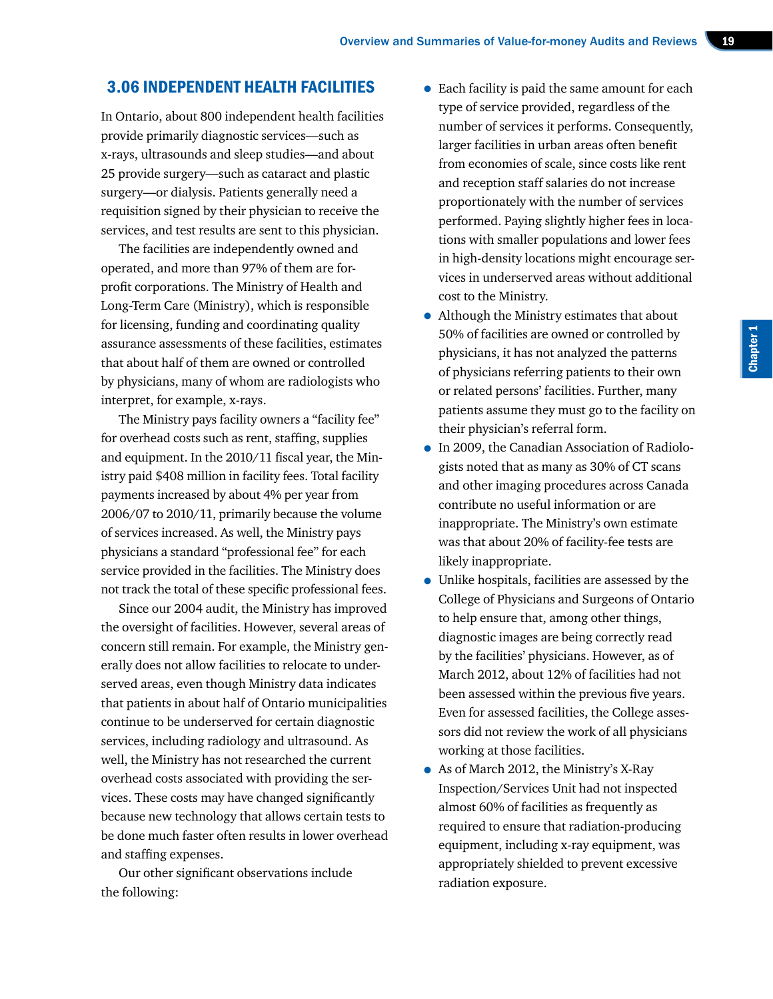# 3.06 INDEPENDENT HEALTH FACILITIES

In Ontario, about 800 independent health facilities provide primarily diagnostic services—such as x-rays, ultrasounds and sleep studies—and about 25 provide surgery—such as cataract and plastic surgery—or dialysis. Patients generally need a requisition signed by their physician to receive the services, and test results are sent to this physician.

The facilities are independently owned and operated, and more than 97% of them are forprofit corporations. The Ministry of Health and Long-Term Care (Ministry), which is responsible for licensing, funding and coordinating quality assurance assessments of these facilities, estimates that about half of them are owned or controlled by physicians, many of whom are radiologists who interpret, for example, x-rays.

The Ministry pays facility owners a "facility fee" for overhead costs such as rent, staffing, supplies and equipment. In the 2010/11 fiscal year, the Ministry paid \$408 million in facility fees. Total facility payments increased by about 4% per year from 2006/07 to 2010/11, primarily because the volume of services increased. As well, the Ministry pays physicians a standard "professional fee" for each service provided in the facilities. The Ministry does not track the total of these specific professional fees.

Since our 2004 audit, the Ministry has improved the oversight of facilities. However, several areas of concern still remain. For example, the Ministry generally does not allow facilities to relocate to underserved areas, even though Ministry data indicates that patients in about half of Ontario municipalities continue to be underserved for certain diagnostic services, including radiology and ultrasound. As well, the Ministry has not researched the current overhead costs associated with providing the services. These costs may have changed significantly because new technology that allows certain tests to be done much faster often results in lower overhead and staffing expenses.

Our other significant observations include the following:

- Each facility is paid the same amount for each type of service provided, regardless of the number of services it performs. Consequently, larger facilities in urban areas often benefit from economies of scale, since costs like rent and reception staff salaries do not increase proportionately with the number of services performed. Paying slightly higher fees in locations with smaller populations and lower fees in high-density locations might encourage services in underserved areas without additional cost to the Ministry.
- Although the Ministry estimates that about 50% of facilities are owned or controlled by physicians, it has not analyzed the patterns of physicians referring patients to their own or related persons' facilities. Further, many patients assume they must go to the facility on their physician's referral form.
- In 2009, the Canadian Association of Radiologists noted that as many as 30% of CT scans and other imaging procedures across Canada contribute no useful information or are inappropriate. The Ministry's own estimate was that about 20% of facility-fee tests are likely inappropriate.
- Unlike hospitals, facilities are assessed by the College of Physicians and Surgeons of Ontario to help ensure that, among other things, diagnostic images are being correctly read by the facilities' physicians. However, as of March 2012, about 12% of facilities had not been assessed within the previous five years. Even for assessed facilities, the College assessors did not review the work of all physicians working at those facilities.
- As of March 2012, the Ministry's X-Ray Inspection/Services Unit had not inspected almost 60% of facilities as frequently as required to ensure that radiation-producing equipment, including x-ray equipment, was appropriately shielded to prevent excessive radiation exposure.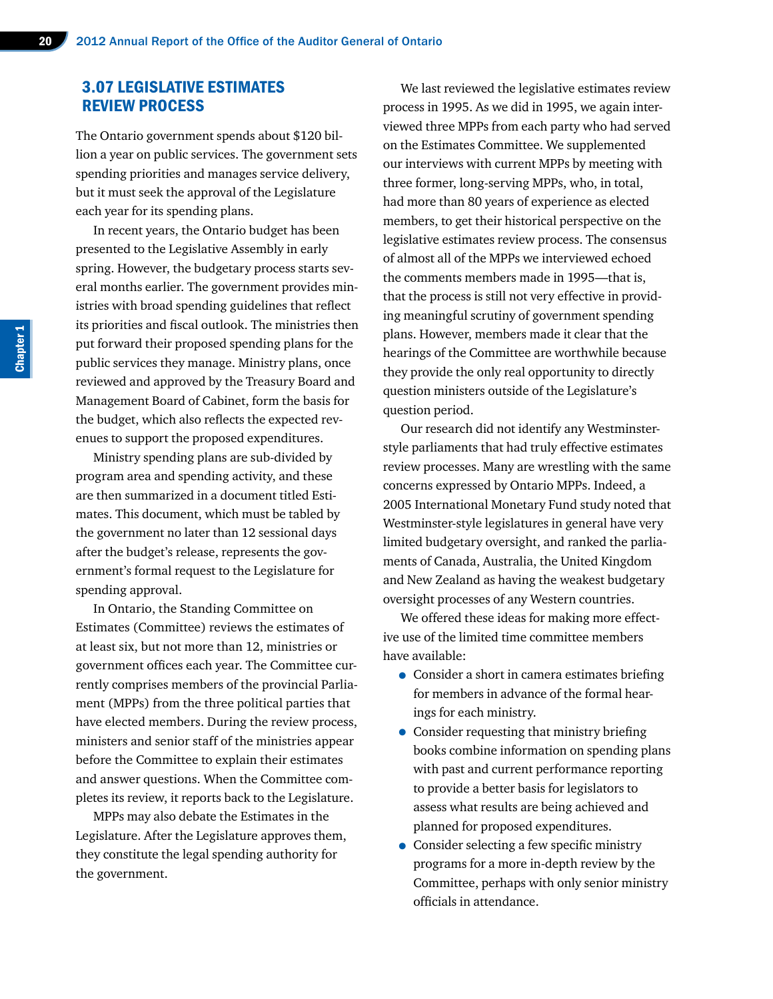# 3.07 LEGISLATIVE ESTIMATES REVIEW PROCESS

The Ontario government spends about \$120 billion a year on public services. The government sets spending priorities and manages service delivery, but it must seek the approval of the Legislature each year for its spending plans.

In recent years, the Ontario budget has been presented to the Legislative Assembly in early spring. However, the budgetary process starts several months earlier. The government provides ministries with broad spending guidelines that reflect its priorities and fiscal outlook. The ministries then put forward their proposed spending plans for the public services they manage. Ministry plans, once reviewed and approved by the Treasury Board and Management Board of Cabinet, form the basis for the budget, which also reflects the expected revenues to support the proposed expenditures.

Ministry spending plans are sub-divided by program area and spending activity, and these are then summarized in a document titled Estimates. This document, which must be tabled by the government no later than 12 sessional days after the budget's release, represents the government's formal request to the Legislature for spending approval.

In Ontario, the Standing Committee on Estimates (Committee) reviews the estimates of at least six, but not more than 12, ministries or government offices each year. The Committee currently comprises members of the provincial Parliament (MPPs) from the three political parties that have elected members. During the review process, ministers and senior staff of the ministries appear before the Committee to explain their estimates and answer questions. When the Committee completes its review, it reports back to the Legislature.

MPPs may also debate the Estimates in the Legislature. After the Legislature approves them, they constitute the legal spending authority for the government.

We last reviewed the legislative estimates review process in 1995. As we did in 1995, we again interviewed three MPPs from each party who had served on the Estimates Committee. We supplemented our interviews with current MPPs by meeting with three former, long-serving MPPs, who, in total, had more than 80 years of experience as elected members, to get their historical perspective on the legislative estimates review process. The consensus of almost all of the MPPs we interviewed echoed the comments members made in 1995—that is, that the process is still not very effective in providing meaningful scrutiny of government spending plans. However, members made it clear that the hearings of the Committee are worthwhile because they provide the only real opportunity to directly question ministers outside of the Legislature's question period.

Our research did not identify any Westminsterstyle parliaments that had truly effective estimates review processes. Many are wrestling with the same concerns expressed by Ontario MPPs. Indeed, a 2005 International Monetary Fund study noted that Westminster-style legislatures in general have very limited budgetary oversight, and ranked the parliaments of Canada, Australia, the United Kingdom and New Zealand as having the weakest budgetary oversight processes of any Western countries.

We offered these ideas for making more effective use of the limited time committee members have available:

- Consider a short in camera estimates briefing for members in advance of the formal hearings for each ministry.
- Consider requesting that ministry briefing books combine information on spending plans with past and current performance reporting to provide a better basis for legislators to assess what results are being achieved and planned for proposed expenditures.
- Consider selecting a few specific ministry programs for a more in-depth review by the Committee, perhaps with only senior ministry officials in attendance.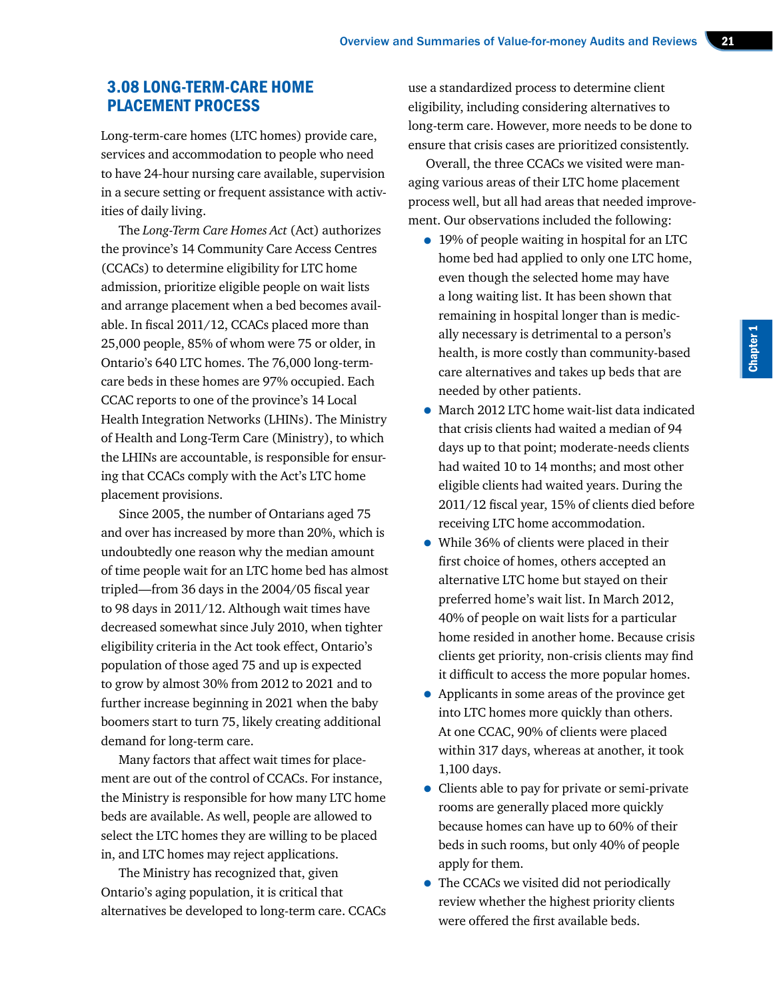# 3.08 LONG-TERM-CARE HOME PLACEMENT PROCESS

Long-term-care homes (LTC homes) provide care, services and accommodation to people who need to have 24-hour nursing care available, supervision in a secure setting or frequent assistance with activities of daily living.

The *Long-Term Care Homes Act* (Act) authorizes the province's 14 Community Care Access Centres (CCACs) to determine eligibility for LTC home admission, prioritize eligible people on wait lists and arrange placement when a bed becomes available. In fiscal 2011/12, CCACs placed more than 25,000 people, 85% of whom were 75 or older, in Ontario's 640 LTC homes. The 76,000 long-termcare beds in these homes are 97% occupied. Each CCAC reports to one of the province's 14 Local Health Integration Networks (LHINs). The Ministry of Health and Long-Term Care (Ministry), to which the LHINs are accountable, is responsible for ensuring that CCACs comply with the Act's LTC home placement provisions.

Since 2005, the number of Ontarians aged 75 and over has increased by more than 20%, which is undoubtedly one reason why the median amount of time people wait for an LTC home bed has almost tripled—from 36 days in the 2004/05 fiscal year to 98 days in 2011/12. Although wait times have decreased somewhat since July 2010, when tighter eligibility criteria in the Act took effect, Ontario's population of those aged 75 and up is expected to grow by almost 30% from 2012 to 2021 and to further increase beginning in 2021 when the baby boomers start to turn 75, likely creating additional demand for long-term care.

Many factors that affect wait times for placement are out of the control of CCACs. For instance, the Ministry is responsible for how many LTC home beds are available. As well, people are allowed to select the LTC homes they are willing to be placed in, and LTC homes may reject applications.

The Ministry has recognized that, given Ontario's aging population, it is critical that alternatives be developed to long-term care. CCACs use a standardized process to determine client eligibility, including considering alternatives to long-term care. However, more needs to be done to ensure that crisis cases are prioritized consistently.

Overall, the three CCACs we visited were managing various areas of their LTC home placement process well, but all had areas that needed improvement. Our observations included the following:

- 19% of people waiting in hospital for an LTC home bed had applied to only one LTC home, even though the selected home may have a long waiting list. It has been shown that remaining in hospital longer than is medically necessary is detrimental to a person's health, is more costly than community-based care alternatives and takes up beds that are needed by other patients.
- March 2012 LTC home wait-list data indicated that crisis clients had waited a median of 94 days up to that point; moderate-needs clients had waited 10 to 14 months; and most other eligible clients had waited years. During the 2011/12 fiscal year, 15% of clients died before receiving LTC home accommodation.
- While 36% of clients were placed in their first choice of homes, others accepted an alternative LTC home but stayed on their preferred home's wait list. In March 2012, 40% of people on wait lists for a particular home resided in another home. Because crisis clients get priority, non-crisis clients may find it difficult to access the more popular homes.
- Applicants in some areas of the province get into LTC homes more quickly than others. At one CCAC, 90% of clients were placed within 317 days, whereas at another, it took 1,100 days.
- Clients able to pay for private or semi-private rooms are generally placed more quickly because homes can have up to 60% of their beds in such rooms, but only 40% of people apply for them.
- The CCACs we visited did not periodically review whether the highest priority clients were offered the first available beds.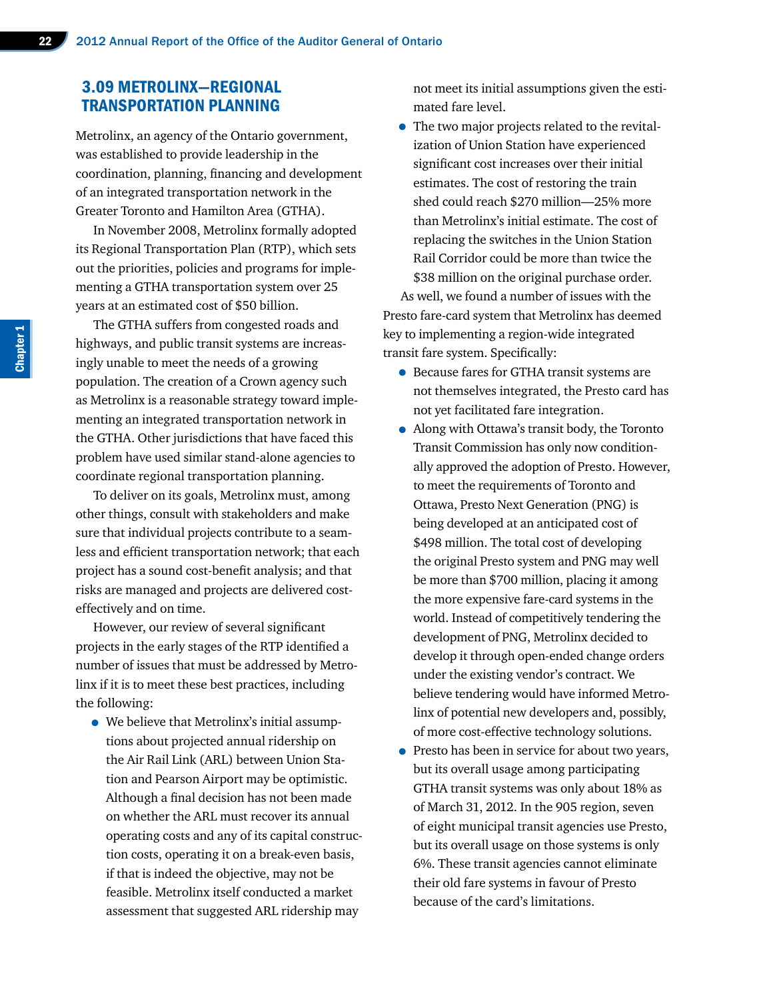# 3.09 METROLINX—REGIONAL TRANSPORTATION PLANNING

Metrolinx, an agency of the Ontario government, was established to provide leadership in the coordination, planning, financing and development of an integrated transportation network in the Greater Toronto and Hamilton Area (GTHA).

In November 2008, Metrolinx formally adopted its Regional Transportation Plan (RTP), which sets out the priorities, policies and programs for implementing a GTHA transportation system over 25 years at an estimated cost of \$50 billion.

The GTHA suffers from congested roads and highways, and public transit systems are increasingly unable to meet the needs of a growing population. The creation of a Crown agency such as Metrolinx is a reasonable strategy toward implementing an integrated transportation network in the GTHA. Other jurisdictions that have faced this problem have used similar stand-alone agencies to coordinate regional transportation planning.

To deliver on its goals, Metrolinx must, among other things, consult with stakeholders and make sure that individual projects contribute to a seamless and efficient transportation network; that each project has a sound cost-benefit analysis; and that risks are managed and projects are delivered costeffectively and on time.

However, our review of several significant projects in the early stages of the RTP identified a number of issues that must be addressed by Metrolinx if it is to meet these best practices, including the following:

• We believe that Metrolinx's initial assumptions about projected annual ridership on the Air Rail Link (ARL) between Union Station and Pearson Airport may be optimistic. Although a final decision has not been made on whether the ARL must recover its annual operating costs and any of its capital construction costs, operating it on a break-even basis, if that is indeed the objective, may not be feasible. Metrolinx itself conducted a market assessment that suggested ARL ridership may

not meet its initial assumptions given the estimated fare level.

- The two major projects related to the revitalization of Union Station have experienced significant cost increases over their initial estimates. The cost of restoring the train shed could reach \$270 million—25% more than Metrolinx's initial estimate. The cost of replacing the switches in the Union Station Rail Corridor could be more than twice the \$38 million on the original purchase order. As well, we found a number of issues with the Presto fare-card system that Metrolinx has deemed key to implementing a region-wide integrated transit fare system. Specifically:
	- Because fares for GTHA transit systems are not themselves integrated, the Presto card has not yet facilitated fare integration.
	- Along with Ottawa's transit body, the Toronto Transit Commission has only now conditionally approved the adoption of Presto. However, to meet the requirements of Toronto and Ottawa, Presto Next Generation (PNG) is being developed at an anticipated cost of \$498 million. The total cost of developing the original Presto system and PNG may well be more than \$700 million, placing it among the more expensive fare-card systems in the world. Instead of competitively tendering the development of PNG, Metrolinx decided to develop it through open-ended change orders under the existing vendor's contract. We believe tendering would have informed Metrolinx of potential new developers and, possibly, of more cost-effective technology solutions.
	- Presto has been in service for about two years, but its overall usage among participating GTHA transit systems was only about 18% as of March 31, 2012. In the 905 region, seven of eight municipal transit agencies use Presto, but its overall usage on those systems is only 6%. These transit agencies cannot eliminate their old fare systems in favour of Presto because of the card's limitations.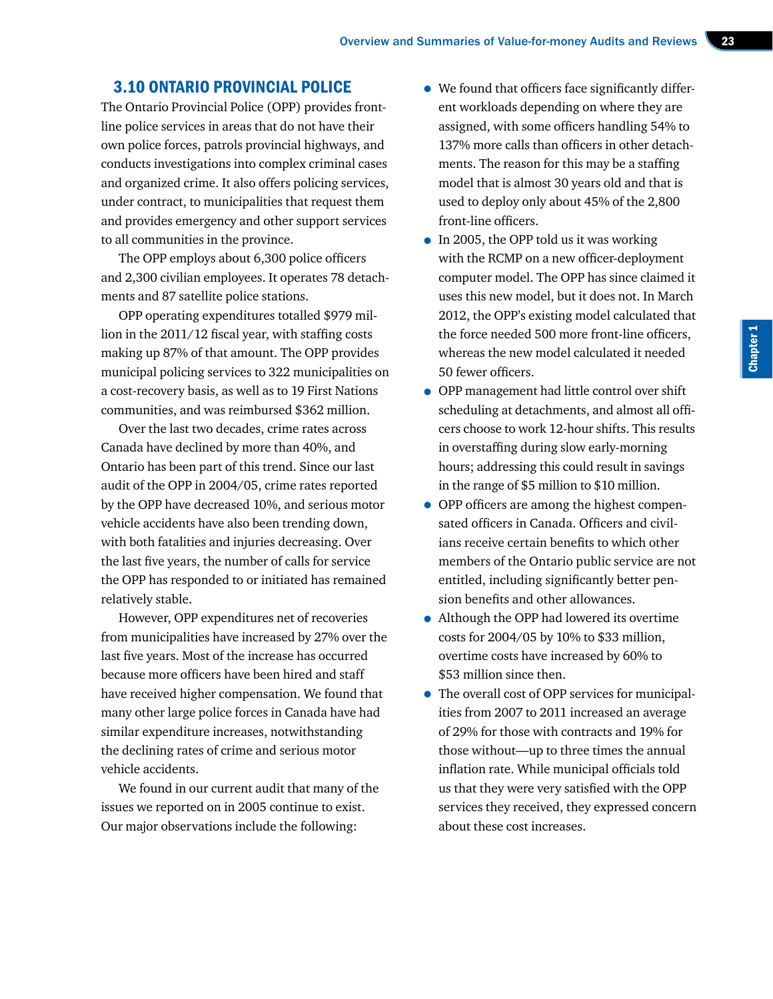#### 3.10 ONTARIO PROVINCIAL POLICE

The Ontario Provincial Police (OPP) provides frontline police services in areas that do not have their own police forces, patrols provincial highways, and conducts investigations into complex criminal cases and organized crime. It also offers policing services, under contract, to municipalities that request them and provides emergency and other support services to all communities in the province.

The OPP employs about 6,300 police officers and 2,300 civilian employees. It operates 78 detachments and 87 satellite police stations.

OPP operating expenditures totalled \$979 million in the 2011/12 fiscal year, with staffing costs making up 87% of that amount. The OPP provides municipal policing services to 322 municipalities on a cost-recovery basis, as well as to 19 First Nations communities, and was reimbursed \$362 million.

Over the last two decades, crime rates across Canada have declined by more than 40%, and Ontario has been part of this trend. Since our last audit of the OPP in 2004/05, crime rates reported by the OPP have decreased 10%, and serious motor vehicle accidents have also been trending down, with both fatalities and injuries decreasing. Over the last five years, the number of calls for service the OPP has responded to or initiated has remained relatively stable.

However, OPP expenditures net of recoveries from municipalities have increased by 27% over the last five years. Most of the increase has occurred because more officers have been hired and staff have received higher compensation. We found that many other large police forces in Canada have had similar expenditure increases, notwithstanding the declining rates of crime and serious motor vehicle accidents.

We found in our current audit that many of the issues we reported on in 2005 continue to exist. Our major observations include the following:

- We found that officers face significantly different workloads depending on where they are assigned, with some officers handling 54% to 137% more calls than officers in other detachments. The reason for this may be a staffing model that is almost 30 years old and that is used to deploy only about 45% of the 2,800 front-line officers.
- In 2005, the OPP told us it was working with the RCMP on a new officer-deployment computer model. The OPP has since claimed it uses this new model, but it does not. In March 2012, the OPP's existing model calculated that the force needed 500 more front-line officers, whereas the new model calculated it needed 50 fewer officers.
- OPP management had little control over shift scheduling at detachments, and almost all officers choose to work 12-hour shifts. This results in overstaffing during slow early-morning hours; addressing this could result in savings in the range of \$5 million to \$10 million.
- OPP officers are among the highest compensated officers in Canada. Officers and civilians receive certain benefits to which other members of the Ontario public service are not entitled, including significantly better pension benefits and other allowances.
- Although the OPP had lowered its overtime costs for 2004/05 by 10% to \$33 million, overtime costs have increased by 60% to \$53 million since then.
- The overall cost of OPP services for municipalities from 2007 to 2011 increased an average of 29% for those with contracts and 19% for those without—up to three times the annual inflation rate. While municipal officials told us that they were very satisfied with the OPP services they received, they expressed concern about these cost increases.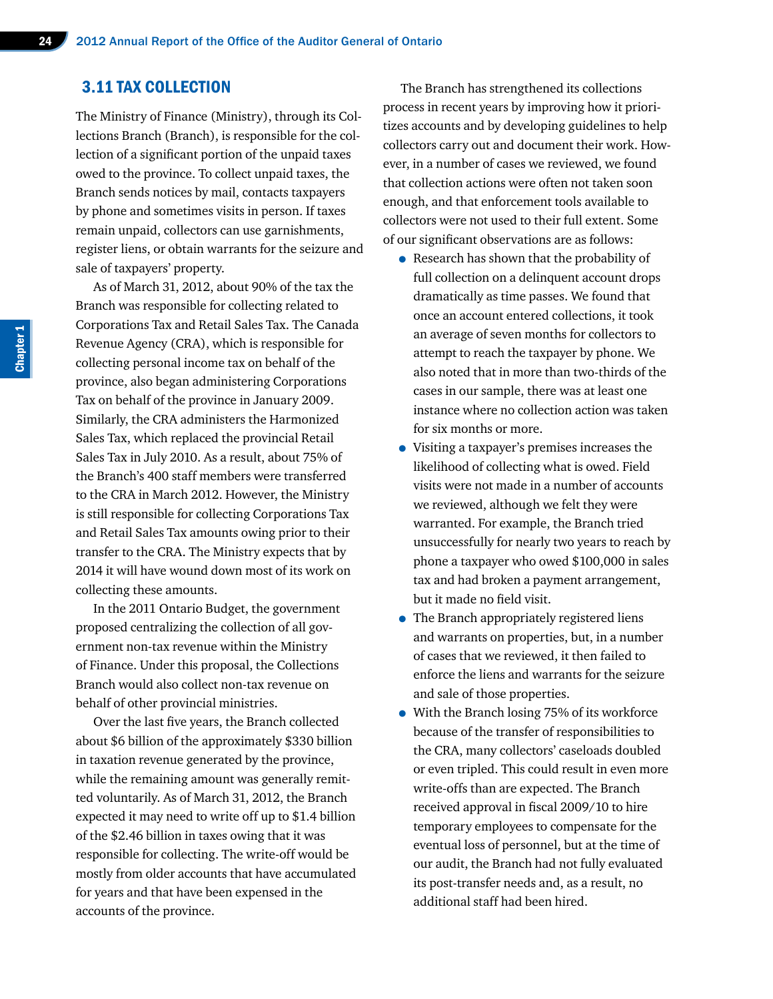# 3.11 TAX COLLECTION

The Ministry of Finance (Ministry), through its Collections Branch (Branch), is responsible for the collection of a significant portion of the unpaid taxes owed to the province. To collect unpaid taxes, the Branch sends notices by mail, contacts taxpayers by phone and sometimes visits in person. If taxes remain unpaid, collectors can use garnishments, register liens, or obtain warrants for the seizure and sale of taxpayers' property.

As of March 31, 2012, about 90% of the tax the Branch was responsible for collecting related to Corporations Tax and Retail Sales Tax. The Canada Revenue Agency (CRA), which is responsible for collecting personal income tax on behalf of the province, also began administering Corporations Tax on behalf of the province in January 2009. Similarly, the CRA administers the Harmonized Sales Tax, which replaced the provincial Retail Sales Tax in July 2010. As a result, about 75% of the Branch's 400 staff members were transferred to the CRA in March 2012. However, the Ministry is still responsible for collecting Corporations Tax and Retail Sales Tax amounts owing prior to their transfer to the CRA. The Ministry expects that by 2014 it will have wound down most of its work on collecting these amounts.

In the 2011 Ontario Budget, the government proposed centralizing the collection of all government non-tax revenue within the Ministry of Finance. Under this proposal, the Collections Branch would also collect non-tax revenue on behalf of other provincial ministries.

Over the last five years, the Branch collected about \$6 billion of the approximately \$330 billion in taxation revenue generated by the province, while the remaining amount was generally remitted voluntarily. As of March 31, 2012, the Branch expected it may need to write off up to \$1.4 billion of the \$2.46 billion in taxes owing that it was responsible for collecting. The write-off would be mostly from older accounts that have accumulated for years and that have been expensed in the accounts of the province.

The Branch has strengthened its collections process in recent years by improving how it prioritizes accounts and by developing guidelines to help collectors carry out and document their work. However, in a number of cases we reviewed, we found that collection actions were often not taken soon enough, and that enforcement tools available to collectors were not used to their full extent. Some of our significant observations are as follows:

- Research has shown that the probability of full collection on a delinquent account drops dramatically as time passes. We found that once an account entered collections, it took an average of seven months for collectors to attempt to reach the taxpayer by phone. We also noted that in more than two-thirds of the cases in our sample, there was at least one instance where no collection action was taken for six months or more.
- Visiting a taxpayer's premises increases the likelihood of collecting what is owed. Field visits were not made in a number of accounts we reviewed, although we felt they were warranted. For example, the Branch tried unsuccessfully for nearly two years to reach by phone a taxpayer who owed \$100,000 in sales tax and had broken a payment arrangement, but it made no field visit.
- The Branch appropriately registered liens and warrants on properties, but, in a number of cases that we reviewed, it then failed to enforce the liens and warrants for the seizure and sale of those properties.
- With the Branch losing 75% of its workforce because of the transfer of responsibilities to the CRA, many collectors' caseloads doubled or even tripled. This could result in even more write-offs than are expected. The Branch received approval in fiscal 2009/10 to hire temporary employees to compensate for the eventual loss of personnel, but at the time of our audit, the Branch had not fully evaluated its post-transfer needs and, as a result, no additional staff had been hired.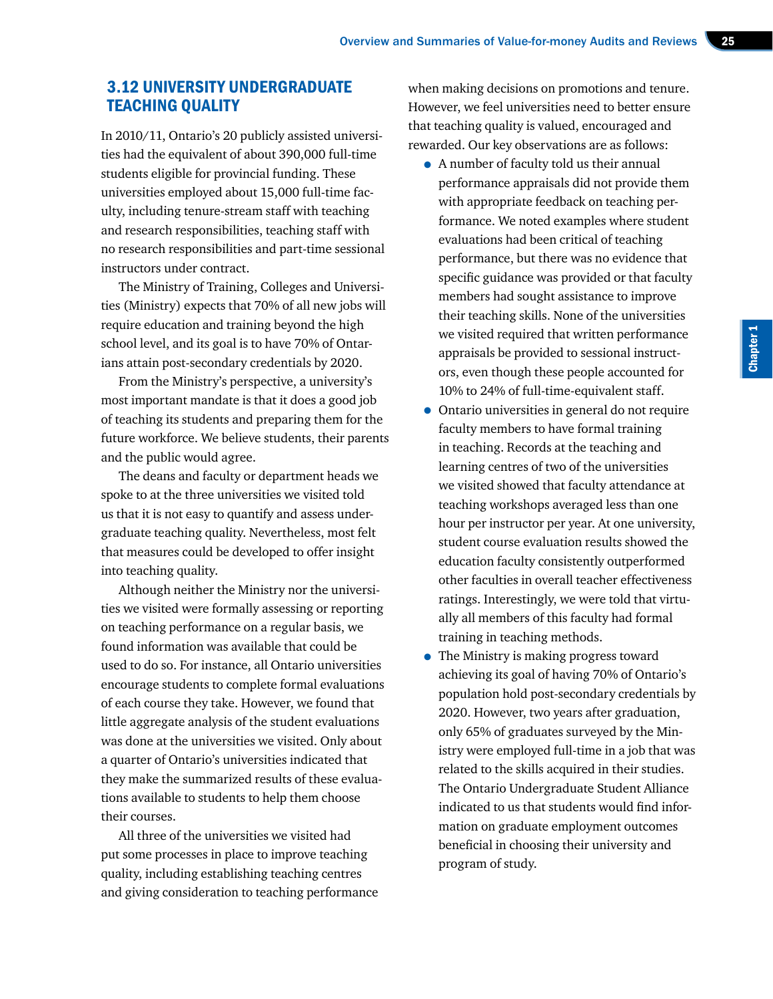# 3.12 UNIVERSITY UNDERGRADUATE TEACHING QUALITY

In 2010/11, Ontario's 20 publicly assisted universities had the equivalent of about 390,000 full-time students eligible for provincial funding. These universities employed about 15,000 full-time faculty, including tenure-stream staff with teaching and research responsibilities, teaching staff with no research responsibilities and part-time sessional instructors under contract.

The Ministry of Training, Colleges and Universities (Ministry) expects that 70% of all new jobs will require education and training beyond the high school level, and its goal is to have 70% of Ontarians attain post-secondary credentials by 2020.

From the Ministry's perspective, a university's most important mandate is that it does a good job of teaching its students and preparing them for the future workforce. We believe students, their parents and the public would agree.

The deans and faculty or department heads we spoke to at the three universities we visited told us that it is not easy to quantify and assess undergraduate teaching quality. Nevertheless, most felt that measures could be developed to offer insight into teaching quality.

Although neither the Ministry nor the universities we visited were formally assessing or reporting on teaching performance on a regular basis, we found information was available that could be used to do so. For instance, all Ontario universities encourage students to complete formal evaluations of each course they take. However, we found that little aggregate analysis of the student evaluations was done at the universities we visited. Only about a quarter of Ontario's universities indicated that they make the summarized results of these evaluations available to students to help them choose their courses.

All three of the universities we visited had put some processes in place to improve teaching quality, including establishing teaching centres and giving consideration to teaching performance when making decisions on promotions and tenure. However, we feel universities need to better ensure that teaching quality is valued, encouraged and rewarded. Our key observations are as follows:

• A number of faculty told us their annual performance appraisals did not provide them with appropriate feedback on teaching performance. We noted examples where student evaluations had been critical of teaching performance, but there was no evidence that specific guidance was provided or that faculty members had sought assistance to improve their teaching skills. None of the universities we visited required that written performance appraisals be provided to sessional instructors, even though these people accounted for 10% to 24% of full-time-equivalent staff.

Chapter 1

- Ontario universities in general do not require faculty members to have formal training in teaching. Records at the teaching and learning centres of two of the universities we visited showed that faculty attendance at teaching workshops averaged less than one hour per instructor per year. At one university, student course evaluation results showed the education faculty consistently outperformed other faculties in overall teacher effectiveness ratings. Interestingly, we were told that virtually all members of this faculty had formal training in teaching methods.
- The Ministry is making progress toward achieving its goal of having 70% of Ontario's population hold post-secondary credentials by 2020. However, two years after graduation, only 65% of graduates surveyed by the Ministry were employed full-time in a job that was related to the skills acquired in their studies. The Ontario Undergraduate Student Alliance indicated to us that students would find information on graduate employment outcomes beneficial in choosing their university and program of study.